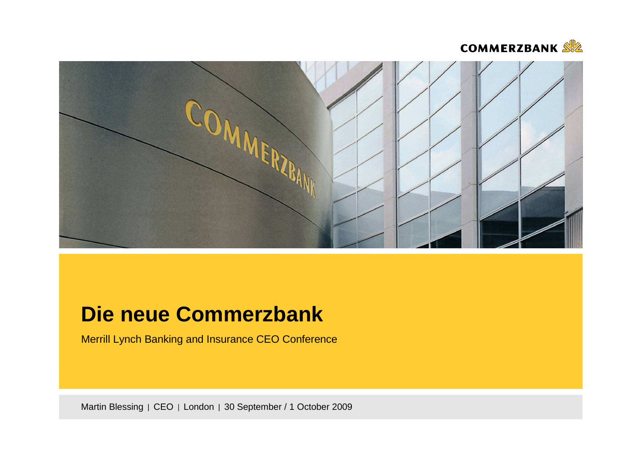



# **Die neue Commerzbank**

Merrill Lynch Banking and Insurance CEO Conference

Martin Blessing | CEO | London | 30 September / 1 October 2009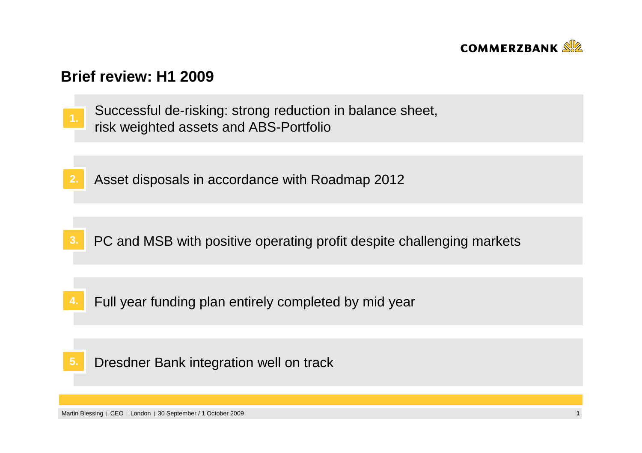

## **Brief review: H1 2009**

- Successful de-risking: strong reduction in balance sheet, risk weighted assets and ABS-Portfolio **1.**
- **2.**Asset disposals in accordance with Roadmap 2012

- **3.**PC and MSB with positive operating profit despite challenging markets
- **4.**Full year funding plan entirely completed by mid year
- Dresdner Bank integration well on track**5.**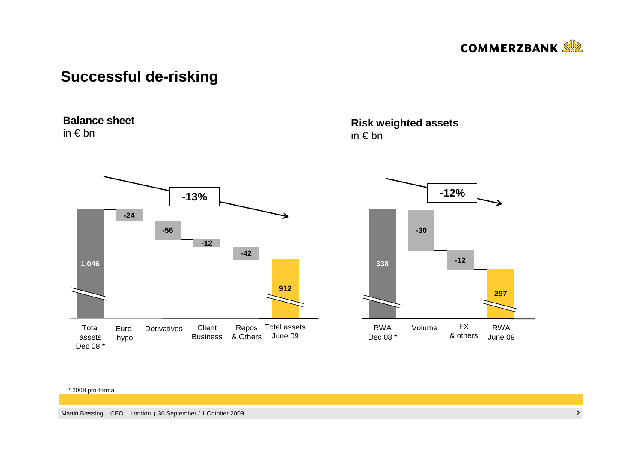

## **Successful de-risking**

### **Balance sheet**

in € bn



### **Risk weighted assets**in € bn



#### \* 2008 pro-forma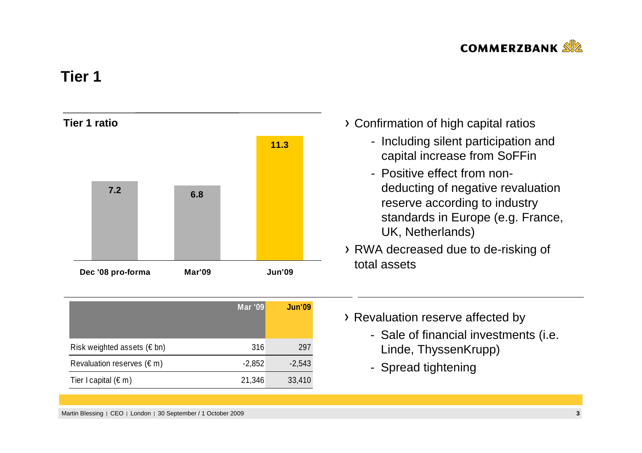

## **Tier 1**



|                                     | <b>Mar '09</b> | <b>Jun'09</b> |
|-------------------------------------|----------------|---------------|
| Risk weighted assets ( $\notin$ bn) | 316            | 297           |
| Revaluation reserves $(\epsilon m)$ | $-2,852$       | $-2,543$      |
| Tier I capital $(\epsilon m)$       | 21,346         | 33,410        |

- Confirmation of high capital ratios
	- Including silent participation and capital increase from SoFFin
	- Positive effect from nondeducting of negative revaluation reserve according to industry standards in Europe (e.g. France, UK, Netherlands)
- RWA decreased due to de-risking of total assets
- > Revaluation reserve affected by
	- Sale of financial investments (i.e. Linde, ThyssenKrupp)
	- Spread tightening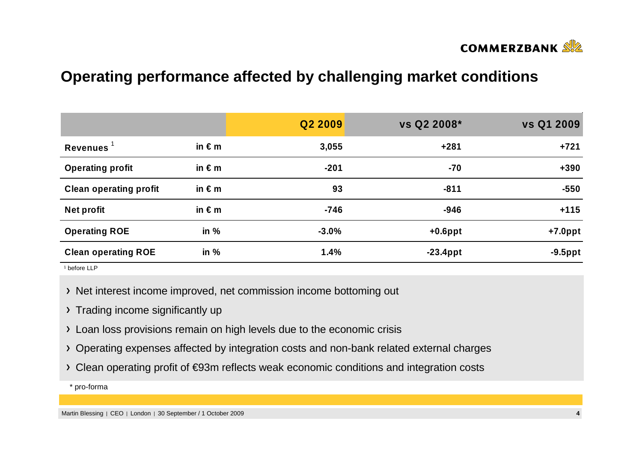

## **Operating performance affected by challenging market conditions**

|                               |                 | Q2 2009 | vs Q2 2008* | vs Q1 2009 |
|-------------------------------|-----------------|---------|-------------|------------|
| Revenues $1$                  | in $\epsilon$ m | 3,055   | $+281$      | $+721$     |
| <b>Operating profit</b>       | in $\epsilon$ m | $-201$  | $-70$       | $+390$     |
| <b>Clean operating profit</b> | in $\epsilon$ m | 93      | $-811$      | $-550$     |
| <b>Net profit</b>             | in $\epsilon$ m | $-746$  | $-946$      | $+115$     |
| <b>Operating ROE</b>          | in $%$          | $-3.0%$ | $+0.6$ ppt  | $+7.0$ ppt |
| <b>Clean operating ROE</b>    | in $%$          | 1.4%    | $-23.4$ ppt | $-9.5$ ppt |

1 before LLP

- > Net interest income improved, net commission income bottoming out
- > Trading income significantly up
- Loan loss provisions remain on high levels due to the economic crisis
- Operating expenses affected by integration costs and non-bank related external charges
- Clean operating profit of €93m reflects weak economic conditions and integration costs

\* pro-forma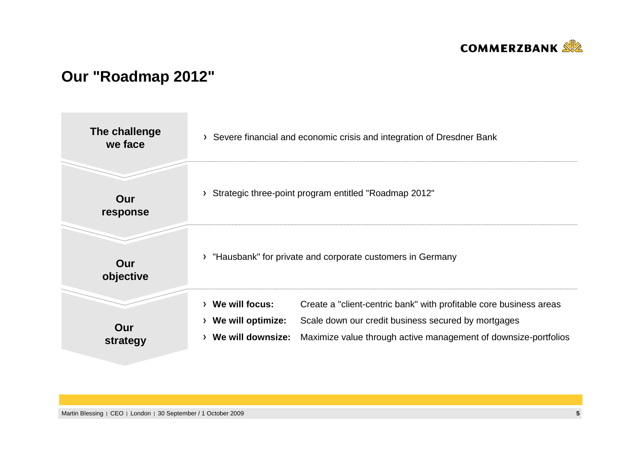

## **Our "Roadmap 2012"**

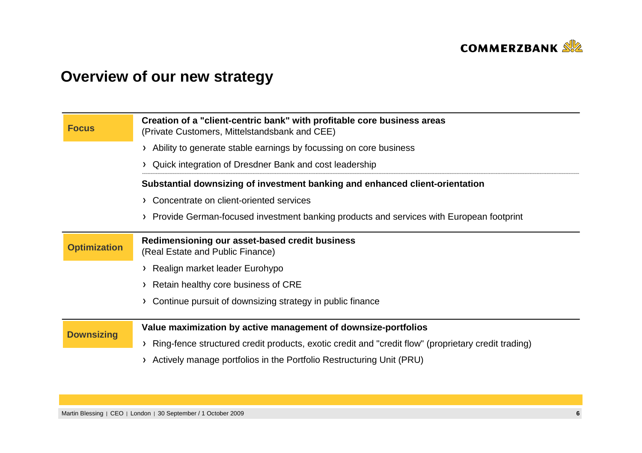

# **Overview of our new strategy**

| <b>Focus</b>        | Creation of a "client-centric bank" with profitable core business areas<br>(Private Customers, Mittelstandsbank and CEE)                                              |
|---------------------|-----------------------------------------------------------------------------------------------------------------------------------------------------------------------|
|                     | Ability to generate stable earnings by focussing on core business                                                                                                     |
|                     | Quick integration of Dresdner Bank and cost leadership                                                                                                                |
|                     | Substantial downsizing of investment banking and enhanced client-orientation                                                                                          |
|                     | > Concentrate on client-oriented services                                                                                                                             |
|                     | > Provide German-focused investment banking products and services with European footprint                                                                             |
| <b>Optimization</b> | Redimensioning our asset-based credit business<br>(Real Estate and Public Finance)                                                                                    |
|                     | Realign market leader Eurohypo                                                                                                                                        |
|                     | > Retain healthy core business of CRE                                                                                                                                 |
|                     | Continue pursuit of downsizing strategy in public finance                                                                                                             |
| <b>Downsizing</b>   | Value maximization by active management of downsize-portfolios<br>Ring-fence structured credit products, exotic credit and "credit flow" (proprietary credit trading) |
|                     | Actively manage portfolios in the Portfolio Restructuring Unit (PRU)                                                                                                  |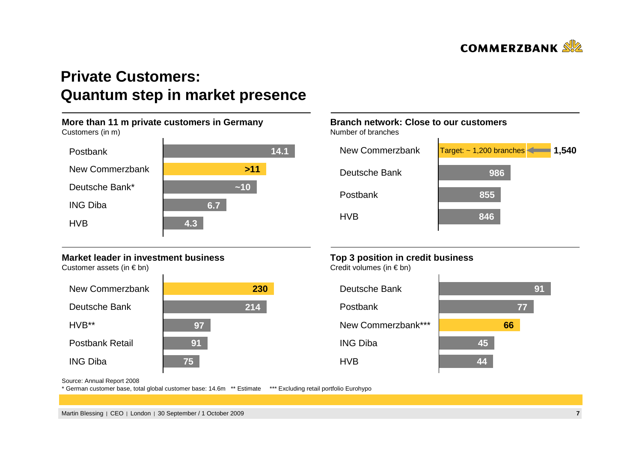

## **Private Customers: Quantum step in market presence**



### **Market leader in investment business**

Customer assets (in  $\epsilon$  bn)



### **Branch network: Close to our customers**

Number of branches



### **Top 3 position in credit business**

Credit volumes (in  $\in$  bn)



Source: Annual Report 2008

\* German customer base, total global customer base: 14.6m \*\* Estimate \*\*\* Excluding retail portfolio Eurohypo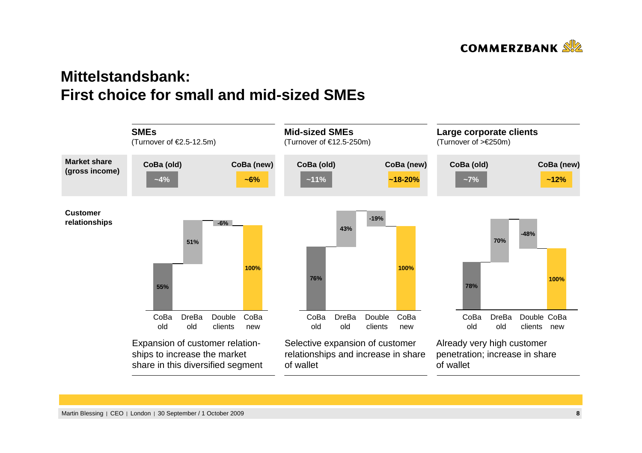

## **Mittelstandsbank: First choice for small and mid-sized SMEs**

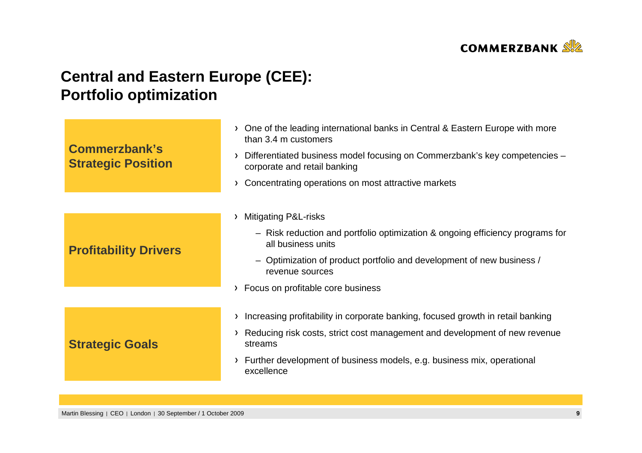

# **Central and Eastern Europe (CEE):Portfolio optimization**

| <b>Commerzbank's</b><br><b>Strategic Position</b> | One of the leading international banks in Central & Eastern Europe with more<br>$\sum$<br>than 3.4 m customers  |  |  |
|---------------------------------------------------|-----------------------------------------------------------------------------------------------------------------|--|--|
|                                                   | Differentiated business model focusing on Commerzbank's key competencies -<br>እ<br>corporate and retail banking |  |  |
|                                                   | Concentrating operations on most attractive markets<br>Σ                                                        |  |  |
|                                                   |                                                                                                                 |  |  |
|                                                   | <b>Mitigating P&amp;L-risks</b><br>$\rightarrow$                                                                |  |  |
| <b>Profitability Drivers</b>                      | - Risk reduction and portfolio optimization & ongoing efficiency programs for<br>all business units             |  |  |
|                                                   | - Optimization of product portfolio and development of new business /<br>revenue sources                        |  |  |
|                                                   | Focus on profitable core business<br>▸                                                                          |  |  |
|                                                   |                                                                                                                 |  |  |
|                                                   | Increasing profitability in corporate banking, focused growth in retail banking<br>>                            |  |  |
| <b>Strategic Goals</b>                            | Reducing risk costs, strict cost management and development of new revenue<br>Σ<br>streams                      |  |  |
|                                                   | Further development of business models, e.g. business mix, operational<br>Σ<br>excellence                       |  |  |
|                                                   |                                                                                                                 |  |  |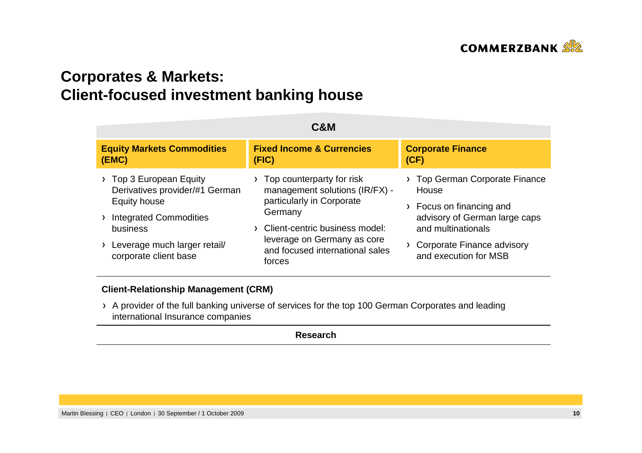

# **Corporates & Markets:Client-focused investment banking house**

| C&M                                                                                                                                                                           |                                                                                                                                                                                                                   |                                                                                                                                                                                         |  |  |  |
|-------------------------------------------------------------------------------------------------------------------------------------------------------------------------------|-------------------------------------------------------------------------------------------------------------------------------------------------------------------------------------------------------------------|-----------------------------------------------------------------------------------------------------------------------------------------------------------------------------------------|--|--|--|
| <b>Equity Markets Commodities</b><br>(EMC)                                                                                                                                    | <b>Fixed Income &amp; Currencies</b><br>(FIG)                                                                                                                                                                     | <b>Corporate Finance</b><br>(CF)                                                                                                                                                        |  |  |  |
| Top 3 European Equity<br>Derivatives provider/#1 German<br>Equity house<br><b>Integrated Commodities</b><br>business<br>Leverage much larger retail/<br>corporate client base | Top counterparty for risk<br>management solutions (IR/FX) -<br>particularly in Corporate<br>Germany<br>Client-centric business model:<br>leverage on Germany as core<br>and focused international sales<br>forces | Top German Corporate Finance<br>House<br>Focus on financing and<br>$\sum$<br>advisory of German large caps<br>and multinationals<br>Corporate Finance advisory<br>and execution for MSB |  |  |  |

### **Client-Relationship Management (CRM)**

> A provider of the full banking universe of services for the top 100 German Corporates and leading international Insurance companies

**Research**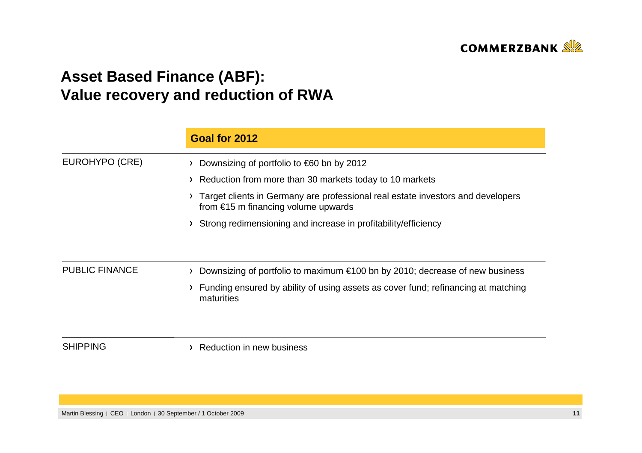

# **Asset Based Finance (ABF): Value recovery and reduction of RWA**

|                       | Goal for 2012                                                                                                                    |
|-----------------------|----------------------------------------------------------------------------------------------------------------------------------|
| EUROHYPO (CRE)        | Downsizing of portfolio to $\epsilon$ 60 bn by 2012<br>≻                                                                         |
|                       | Reduction from more than 30 markets today to 10 markets                                                                          |
|                       | Target clients in Germany are professional real estate investors and developers<br>from $\epsilon$ 15 m financing volume upwards |
|                       | Strong redimensioning and increase in profitability/efficiency                                                                   |
| <b>PUBLIC FINANCE</b> | Downsizing of portfolio to maximum €100 bn by 2010; decrease of new business                                                     |
|                       | Funding ensured by ability of using assets as cover fund; refinancing at matching<br>maturities                                  |
| <b>SHIPPING</b>       | Reduction in new business                                                                                                        |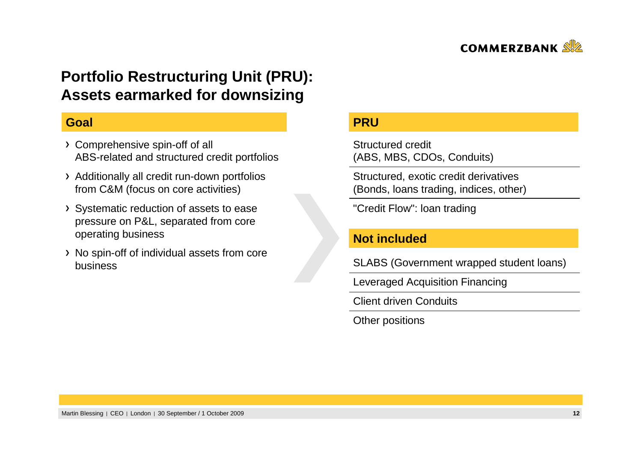

## **Portfolio Restructuring Unit (PRU):Assets earmarked for downsizing**

### **Goal**

- Comprehensive spin-off of all ABS-related and structured credit portfolios
- Additionally all credit run-down portfolios from C&M (focus on core activities)
- Systematic reduction of assets to ease pressure on P&L, separated from core operating business
- > No spin-off of individual assets from core business

### **PRU**

Structured credit(ABS, MBS, CDOs, Conduits)

Structured, exotic credit derivatives (Bonds, loans trading, indices, other)

"Credit Flow": loan trading

### **Not included**

SLABS (Government wrapped student loans)

Leveraged Acquisition Financing

Client driven Conduits

Other positions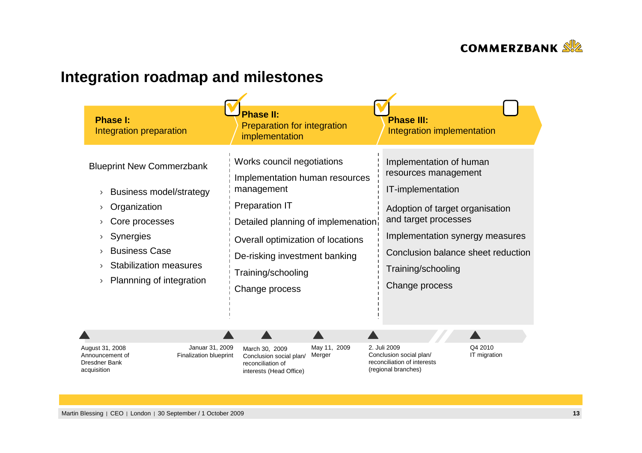

# **Integration roadmap and milestones**

| <b>Phase I:</b><br>Integration preparation | <b>Phase II:</b><br><b>Preparation for integration</b><br>implementation | <b>Phase III:</b><br>Integration implementation |
|--------------------------------------------|--------------------------------------------------------------------------|-------------------------------------------------|
| <b>Blueprint New Commerzbank</b>           | Works council negotiations                                               | Implementation of human                         |
| <b>Business model/strategy</b>             | Implementation human resources                                           | resources management                            |
| $\lambda$                                  | management                                                               | IT-implementation                               |
| Organization                               | <b>Preparation IT</b>                                                    | Adoption of target organisation                 |
| Core processes                             | Detailed planning of implemenation                                       | and target processes                            |
| <b>Synergies</b>                           | Overall optimization of locations                                        | Implementation synergy measures                 |
| <b>Business Case</b>                       | De-risking investment banking                                            | Conclusion balance sheet reduction              |
| <b>Stabilization measures</b>              | Training/schooling                                                       | Training/schooling                              |
| Plannning of integration                   | Change process                                                           | Change process                                  |

| August 31, 2008<br>Announcement of<br>Dresdner Bank<br>acquisition | Januar 31, 2009<br>Finalization blueprint | March 30, 2009<br>Conclusion social plan/<br>reconciliation of<br>interests (Head Office) | May 11, 2009<br>Merger | 2. Juli 2009<br>Conclusion social plan/<br>reconciliation of interests<br>(regional branches) | Q4 2010<br>IT migration |
|--------------------------------------------------------------------|-------------------------------------------|-------------------------------------------------------------------------------------------|------------------------|-----------------------------------------------------------------------------------------------|-------------------------|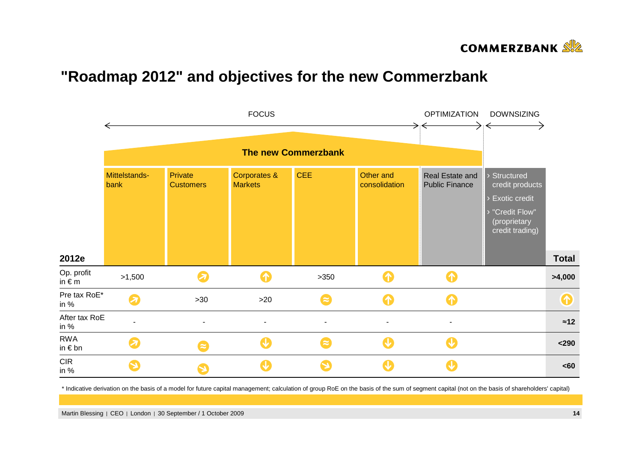

## **"Roadmap 2012" and objectives for the new Commerzbank**



\* Indicative derivation on the basis of a model for future capital management; calculation of group RoE on the basis of the sum of segment capital (not on the basis of shareholders' capital)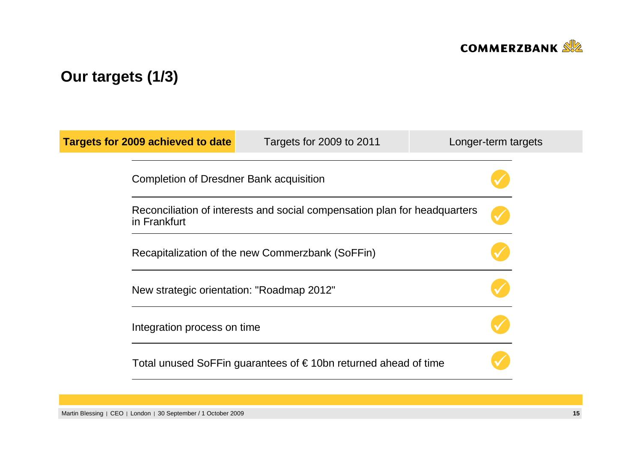

# **Our targets (1/3)**

| Targets for 2009 achieved to date                                                         | Targets for 2009 to 2011                                                 | Longer-term targets |
|-------------------------------------------------------------------------------------------|--------------------------------------------------------------------------|---------------------|
| Completion of Dresdner Bank acquisition                                                   |                                                                          |                     |
| Reconciliation of interests and social compensation plan for headquarters<br>in Frankfurt |                                                                          |                     |
| Recapitalization of the new Commerzbank (SoFFin)                                          |                                                                          |                     |
| New strategic orientation: "Roadmap 2012"                                                 |                                                                          |                     |
| Integration process on time                                                               |                                                                          |                     |
|                                                                                           | Total unused SoFFin guarantees of $\epsilon$ 10bn returned ahead of time |                     |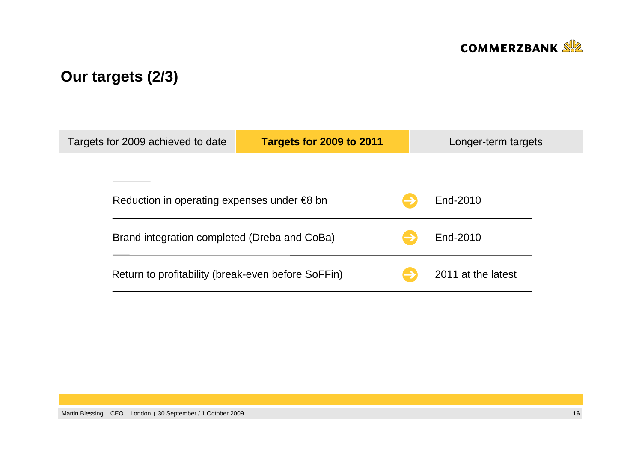

# **Our targets (2/3)**

| Targets for 2009 achieved to date |                                                       | Targets for 2009 to 2011 |  | Longer-term targets |
|-----------------------------------|-------------------------------------------------------|--------------------------|--|---------------------|
|                                   |                                                       |                          |  |                     |
|                                   | Reduction in operating expenses under $\epsilon$ 8 bn |                          |  | End-2010            |
|                                   | Brand integration completed (Dreba and CoBa)          |                          |  | End-2010            |
|                                   | Return to profitability (break-even before SoFFin)    |                          |  | 2011 at the latest  |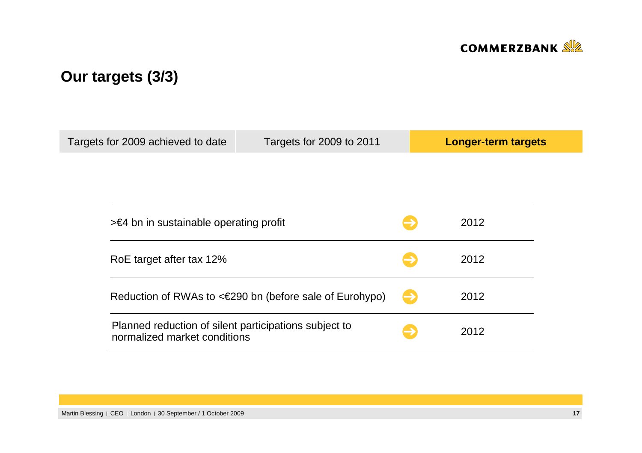

# **Our targets (3/3)**

| Targets for 2009 achieved to date                                                     | Targets for 2009 to 2011                                     |  | Longer-term targets |
|---------------------------------------------------------------------------------------|--------------------------------------------------------------|--|---------------------|
|                                                                                       |                                                              |  |                     |
|                                                                                       |                                                              |  |                     |
| $\geq$ 64 bn in sustainable operating profit                                          |                                                              |  | 2012                |
| RoE target after tax 12%                                                              |                                                              |  |                     |
|                                                                                       | Reduction of RWAs to $\leq 290$ bn (before sale of Eurohypo) |  | 2012                |
| Planned reduction of silent participations subject to<br>normalized market conditions |                                                              |  | 2012                |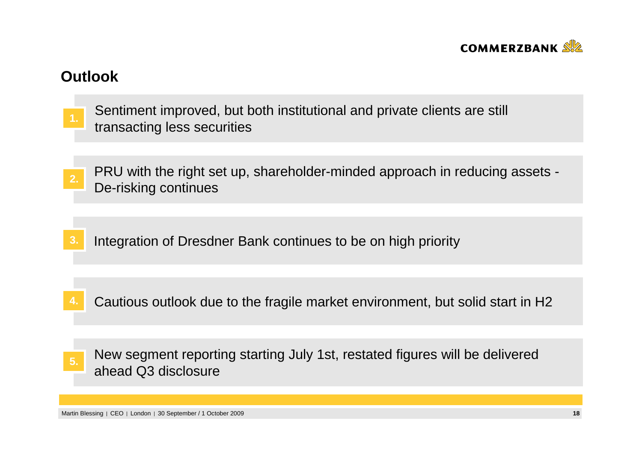

## **Outlook**

- Sentiment improved, but both institutional and private clients are still transacting less securities **1.**
- PRU with the right set up, shareholder-minded approach in reducing assets -De-risking continues **2.**
- **3.**Integration of Dresdner Bank continues to be on high priority
- **4.**Cautious outlook due to the fragile market environment, but solid start in H2
- New segment reporting starting July 1st, restated figures will be delivered ahead Q3 disclosure**5.**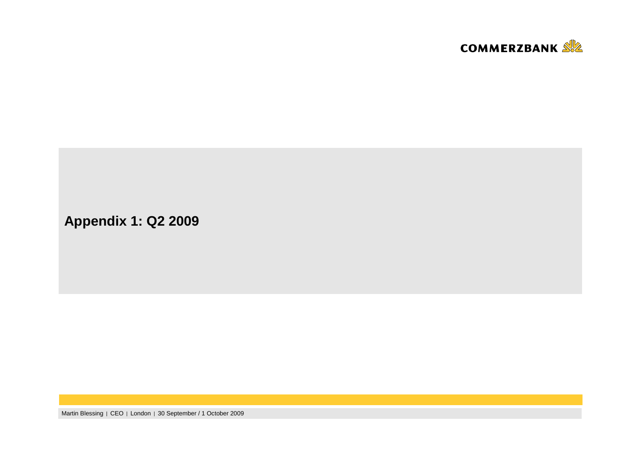

**Appendix 1: Q2 2009**

Martin Blessing | CEO | London | 30 September / 1 October 2009 **<sup>19</sup>**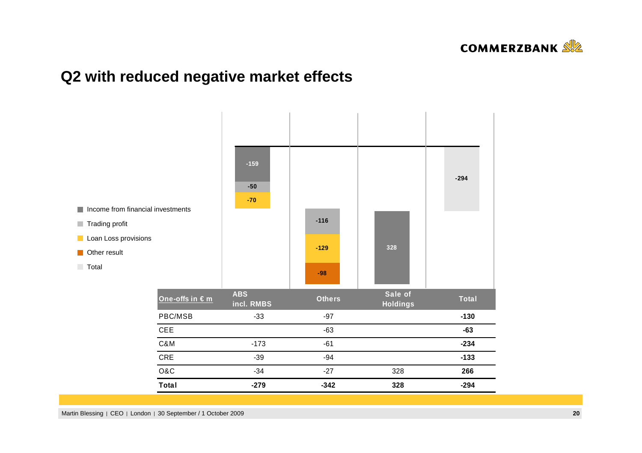

## **Q2 with reduced negative market effects**

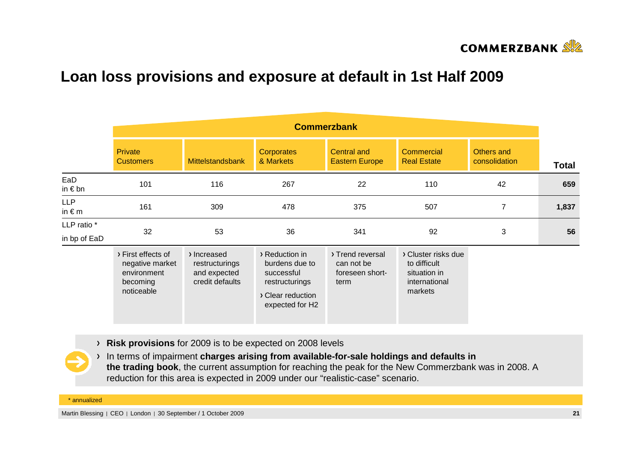

## **Loan loss provisions and exposure at default in 1st Half 2009**

|                               | <b>Commerzbank</b>                                                             |                                                                  |                                                                                                          |                                                           |                                                                                 |                             |              |
|-------------------------------|--------------------------------------------------------------------------------|------------------------------------------------------------------|----------------------------------------------------------------------------------------------------------|-----------------------------------------------------------|---------------------------------------------------------------------------------|-----------------------------|--------------|
|                               | <b>Private</b><br><b>Customers</b>                                             | <b>Mittelstandsbank</b>                                          | <b>Corporates</b><br>& Markets                                                                           | <b>Central and</b><br><b>Eastern Europe</b>               | Commercial<br><b>Real Estate</b>                                                | Others and<br>consolidation | <b>Total</b> |
| EaD<br>in $\epsilon$ bn       | 101                                                                            | 116                                                              | 267                                                                                                      | 22                                                        | 110                                                                             | 42                          | 659          |
| <b>LLP</b><br>in $\epsilon$ m | 161                                                                            | 309                                                              | 478                                                                                                      | 375                                                       | 507                                                                             | $\overline{7}$              | 1,837        |
| LLP ratio *<br>in bp of EaD   | 32                                                                             | 53                                                               | 36                                                                                                       | 341                                                       | 92                                                                              | $\sqrt{3}$                  | 56           |
|                               | > First effects of<br>negative market<br>environment<br>becoming<br>noticeable | > Increased<br>restructurings<br>and expected<br>credit defaults | > Reduction in<br>burdens due to<br>successful<br>restructurings<br>> Clear reduction<br>expected for H2 | > Trend reversal<br>can not be<br>foreseen short-<br>term | > Cluster risks due<br>to difficult<br>situation in<br>international<br>markets |                             |              |

**Risk provisions** for 2009 is to be expected on 2008 levels

In terms of impairment **charges arising from available-for-sale holdings and defaults in the trading book**, the current assumption for reaching the peak for the New Commerzbank was in 2008. A reduction for this area is expected in 2009 under our "realistic-case" scenario.

\* annualized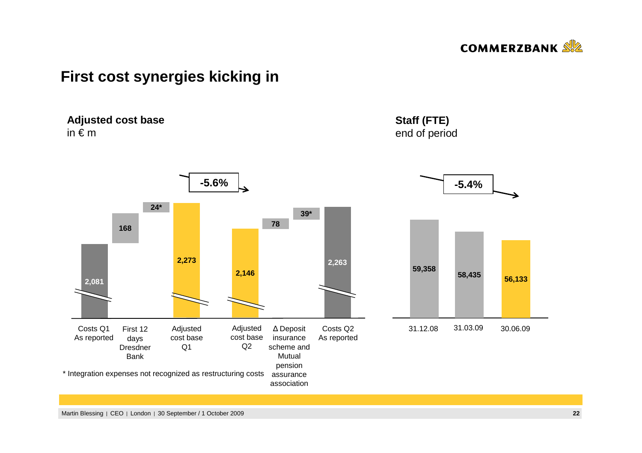

## **First cost synergies kicking in**

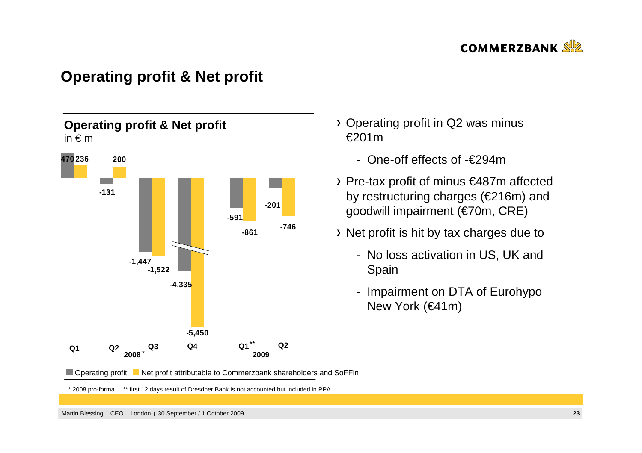

## **Operating profit & Net profit**



- Operating profit in Q2 was minus €201m
	- One-off effects of -€294m
- Pre-tax profit of minus €487m affected by restructuring charges (€216m) and goodwill impairment (€70m, CRE)
- Net profit is hit by tax charges due to
	- No loss activation in US, UK and Spain
	- Impairment on DTA of Eurohypo New York (€41m)



\* 2008 pro-forma \*\* first 12 days result of Dresdner Bank is not accounted but included in PPA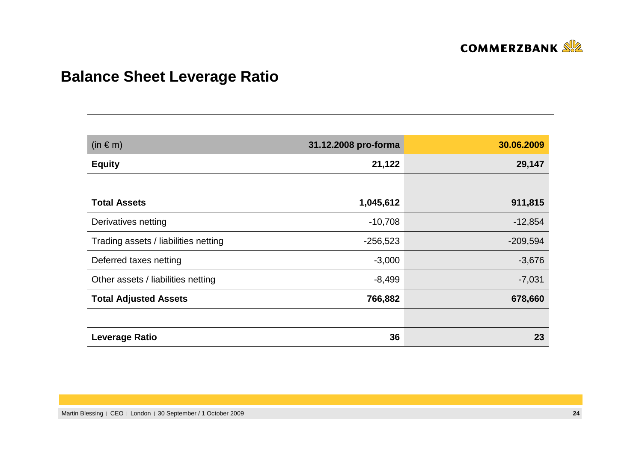

# **Balance Sheet Leverage Ratio**

| $(in \in m)$                         | 31.12.2008 pro-forma | 30.06.2009 |
|--------------------------------------|----------------------|------------|
| <b>Equity</b>                        | 21,122               | 29,147     |
|                                      |                      |            |
| <b>Total Assets</b>                  | 1,045,612            | 911,815    |
| Derivatives netting                  | $-10,708$            | $-12,854$  |
| Trading assets / liabilities netting | $-256,523$           | $-209,594$ |
| Deferred taxes netting               | $-3,000$             | $-3,676$   |
| Other assets / liabilities netting   | $-8,499$             | $-7,031$   |
| <b>Total Adjusted Assets</b>         | 766,882              | 678,660    |
|                                      |                      |            |
| <b>Leverage Ratio</b>                | 36                   | 23         |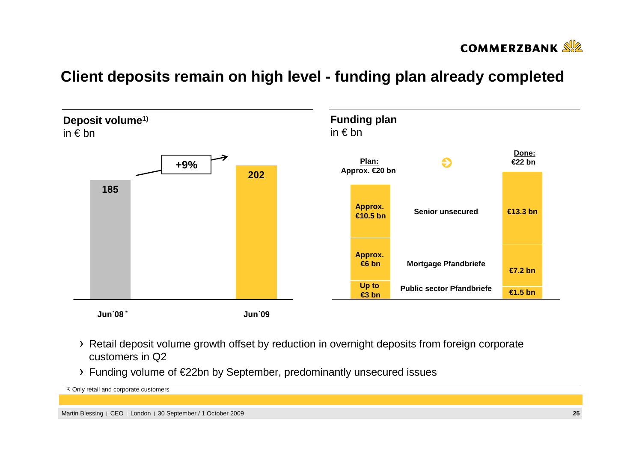

## **Client deposits remain on high level - funding plan already completed**



- Retail deposit volume growth offset by reduction in overnight deposits from foreign corporate customers in Q2
- Funding volume of €22bn by September, predominantly unsecured issues

1) Only retail and corporate customers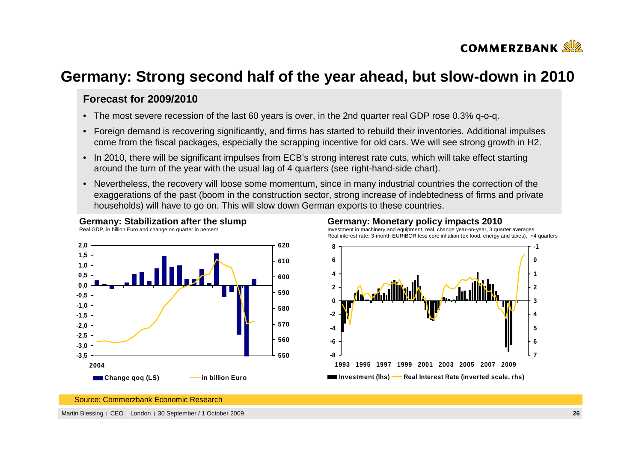

## **Germany: Strong second half of the year ahead, but slow-down in 2010**

### **Forecast for 2009/2010**

- The most severe recession of the last 60 years is over, in the 2nd quarter real GDP rose 0.3% q-o-q.
- Foreign demand is recovering significantly, and firms has started to rebuild their inventories. Additional impulses come from the fiscal packages, especially the scrapping incentive for old cars. We will see strong growth in H2.
- In 2010, there will be significant impulses from ECB's strong interest rate cuts, which will take effect starting around the turn of the year with the usual lag of 4 quarters (see right-hand-side chart).
- Nevertheless, the recovery will loose some momentum, since in many industrial countries the correction of the exaggerations of the past (boom in the construction sector, strong increase of indebtedness of firms and private households) will have to go on. This will slow down German exports to these countries.



**Germany: Stabilization after the slump**

### **Germany: Monetary policy impacts 2010**

 Investment in machinery and equipment, real, change year-on-year, 3 quarter averagesReal interest rate: 3-month EURIBOR less core inflation (ex food, energy and taxes), +4 quarters



Source: Commerzbank Economic Research

Martin Blessing | CEO | London | 30 September / 1 October 2009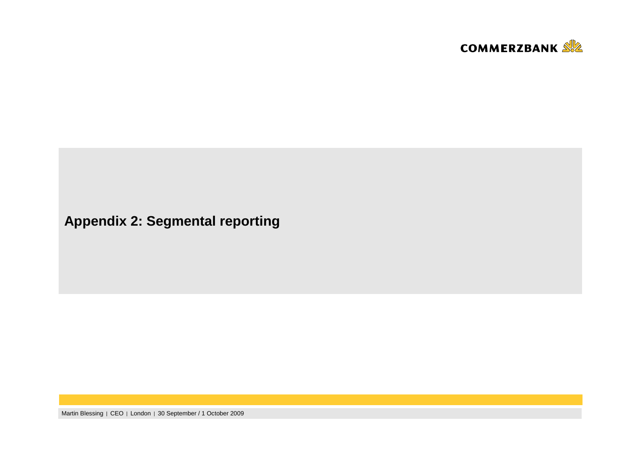

**Appendix 2: Segmental reporting**

Martin Blessing | CEO | London | 30 September / 1 October 2009 **<sup>27</sup>**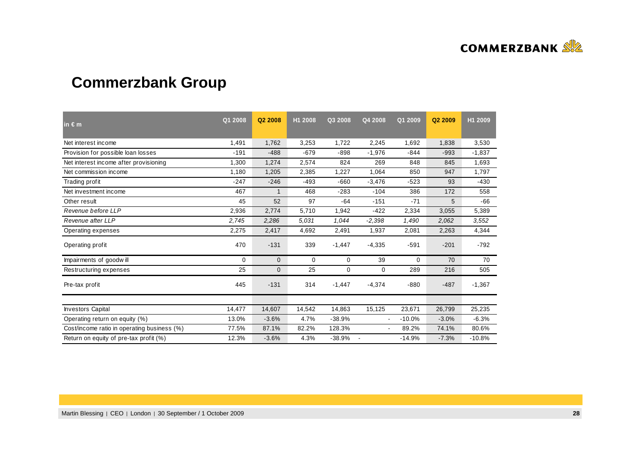

# **Commerzbank Group**

| in $\epsilon$ m                             | Q1 2008     | Q2 2008     | H1 2008 | Q3 2008     | Q4 2008                  | Q1 2009  | Q <sub>2</sub> 2009 | H1 2009  |
|---------------------------------------------|-------------|-------------|---------|-------------|--------------------------|----------|---------------------|----------|
| Net interest income                         | 1,491       | 1,762       | 3,253   | 1,722       | 2,245                    | 1,692    | 1,838               | 3,530    |
| Provision for possible loan losses          | $-191$      | $-488$      | $-679$  | $-898$      | $-1,976$                 | $-844$   | $-993$              | $-1,837$ |
| Net interest income after provisioning      | 1,300       | 1,274       | 2,574   | 824         | 269                      | 848      | 845                 | 1,693    |
| Net commission income                       | 1,180       | 1,205       | 2,385   | 1,227       | 1,064                    | 850      | 947                 | 1.797    |
| Trading profit                              | $-247$      | $-246$      | $-493$  | $-660$      | $-3,476$                 | $-523$   | 93                  | $-430$   |
| Net investment income                       | 467         | 1           | 468     | $-283$      | $-104$                   | 386      | 172                 | 558      |
| Other result                                | 45          | 52          | 97      | $-64$       | $-151$                   | $-71$    | 5                   | $-66$    |
| Revenue before LLP                          | 2,936       | 2,774       | 5,710   | 1,942       | $-422$                   | 2,334    | 3,055               | 5,389    |
| Revenue after LLP                           | 2,745       | 2,286       | 5.031   | 1,044       | $-2,398$                 | 1,490    | 2,062               | 3,552    |
| Operating expenses                          | 2,275       | 2,417       | 4,692   | 2,491       | 1,937                    | 2,081    | 2,263               | 4,344    |
| Operating profit                            | 470         | $-131$      | 339     | $-1,447$    | $-4,335$                 | $-591$   | $-201$              | $-792$   |
| Impairments of goodwill                     | $\mathbf 0$ | $\mathbf 0$ | 0       | 0           | 39                       | 0        | 70                  | 70       |
| Restructuring expenses                      | 25          | $\mathbf 0$ | 25      | $\mathbf 0$ | $\mathbf 0$              | 289      | 216                 | 505      |
| Pre-tax profit                              | 445         | $-131$      | 314     | $-1,447$    | $-4,374$                 | $-880$   | $-487$              | $-1,367$ |
|                                             |             |             |         |             |                          |          |                     |          |
| <b>Investors Capital</b>                    | 14,477      | 14,607      | 14,542  | 14,863      | 15,125                   | 23,671   | 26,799              | 25,235   |
| Operating return on equity (%)              | 13.0%       | $-3.6%$     | 4.7%    | $-38.9%$    | $\blacksquare$           | $-10.0%$ | $-3.0%$             | $-6.3%$  |
| Cost/income ratio in operating business (%) | 77.5%       | 87.1%       | 82.2%   | 128.3%      | $\overline{\phantom{a}}$ | 89.2%    | 74.1%               | 80.6%    |
| Return on equity of pre-tax profit (%)      | 12.3%       | $-3.6%$     | 4.3%    | $-38.9%$    |                          | $-14.9%$ | $-7.3%$             | $-10.8%$ |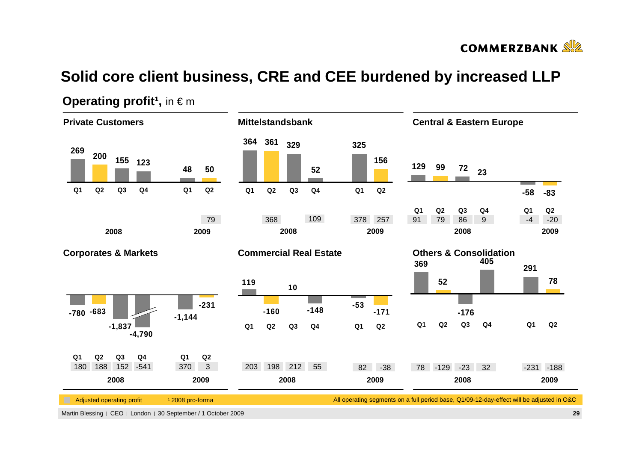

# **Solid core client business, CRE and CEE burdened by increased LLP**



### **Operating profit<sup>1</sup>, in**  $\in$  **m**

Martin Blessing | CEO | London | 30 September / 1 October 2009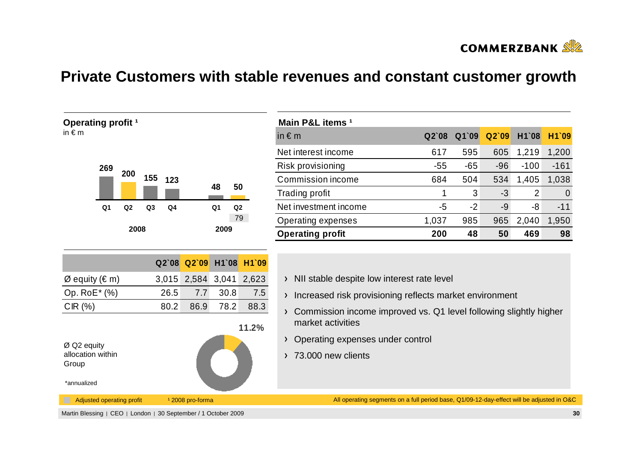

## **Private Customers with stable revenues and constant customer growth**



| Main P&L items <sup>1</sup> |       |       |       |        |        |
|-----------------------------|-------|-------|-------|--------|--------|
| in $\epsilon$ m             | Q2'08 | Q1`09 | Q2'09 | H1`08  | H1`09  |
| Net interest income         | 617   | 595   | 605   | 1,219  | 1,200  |
| Risk provisioning           | $-55$ | $-65$ | $-96$ | $-100$ | $-161$ |
| Commission income           | 684   | 504   | 534   | 1,405  | 1,038  |
| Trading profit              |       | 3     | -3    | 2      |        |
| Net investment income       | -5    | $-2$  | -9    | -8     | $-11$  |
| Operating expenses          | 1,037 | 985   | 965   | 2,040  | 1,950  |
| <b>Operating profit</b>     | 200   | 48    | 50    | 469    | 98     |

- > NII stable despite low interest rate level
- > Increased risk provisioning reflects market environment
- Commission income improved vs. Q1 level following slightly higher market activities
- > Operating expenses under control
- $2\sqrt{73.000}$  new clients

All operating segments on a full period base, Q1/09-12-day-effect will be adjusted in O&C

Martin Blessing | CEO | London | 30 September / 1 October 2009

Adjusted operating profit 12008 pro-forma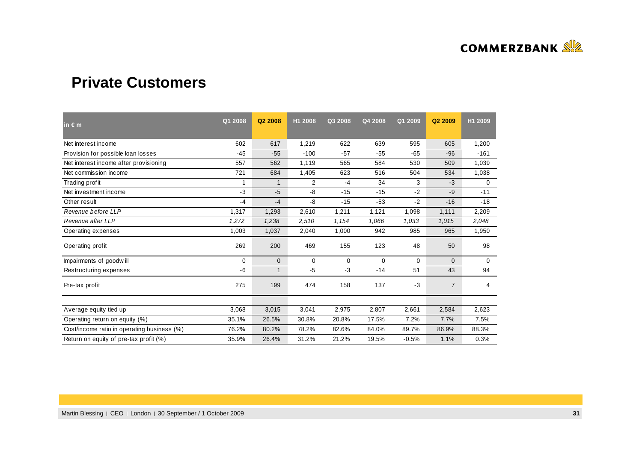

## **Private Customers**

| $\ln \epsilon$ m                            | Q1 2008 | Q <sub>2</sub> 2008 | H1 2008        | Q3 2008     | Q4 2008 | Q1 2009 | Q2 2009        | H1 2009     |
|---------------------------------------------|---------|---------------------|----------------|-------------|---------|---------|----------------|-------------|
| Net interest income                         | 602     | 617                 | 1,219          | 622         | 639     | 595     | 605            | 1,200       |
| Provision for possible loan losses          | $-45$   | $-55$               | $-100$         | $-57$       | $-55$   | $-65$   | $-96$          | $-161$      |
| Net interest income after provisioning      | 557     | 562                 | 1,119          | 565         | 584     | 530     | 509            | 1,039       |
| Net commission income                       | 721     | 684                 | 1,405          | 623         | 516     | 504     | 534            | 1,038       |
| Trading profit                              |         | 1                   | $\overline{2}$ | $-4$        | 34      | 3       | $-3$           | 0           |
| Net investment income                       | -3      | $-5$                | -8             | $-15$       | $-15$   | $-2$    | $-9$           | $-11$       |
| Other result                                | $-4$    | $-4$                | -8             | $-15$       | $-53$   | $-2$    | $-16$          | $-18$       |
| Revenue before LLP                          | 1,317   | 1,293               | 2,610          | 1,211       | 1,121   | 1,098   | 1,111          | 2,209       |
| Revenue after LLP                           | 1,272   | 1,238               | 2,510          | 1,154       | 1,066   | 1,033   | 1,015          | 2.048       |
| Operating expenses                          | 1,003   | 1,037               | 2,040          | 1,000       | 942     | 985     | 965            | 1,950       |
| Operating profit                            | 269     | 200                 | 469            | 155         | 123     | 48      | 50             | 98          |
| Impairments of goodwill                     | 0       | $\mathbf{0}$        | 0              | $\mathbf 0$ | 0       | 0       | $\mathbf{0}$   | $\mathbf 0$ |
| Restructuring expenses                      | -6      | $\mathbf 1$         | $-5$           | $-3$        | $-14$   | 51      | 43             | 94          |
| Pre-tax profit                              | 275     | 199                 | 474            | 158         | 137     | $-3$    | $\overline{7}$ | 4           |
|                                             |         |                     |                |             |         |         |                |             |
| Average equity tied up                      | 3,068   | 3,015               | 3,041          | 2,975       | 2,807   | 2,661   | 2,584          | 2,623       |
| Operating return on equity (%)              | 35.1%   | 26.5%               | 30.8%          | 20.8%       | 17.5%   | 7.2%    | 7.7%           | 7.5%        |
| Cost/income ratio in operating business (%) | 76.2%   | 80.2%               | 78.2%          | 82.6%       | 84.0%   | 89.7%   | 86.9%          | 88.3%       |
| Return on equity of pre-tax profit (%)      | 35.9%   | 26.4%               | 31.2%          | 21.2%       | 19.5%   | $-0.5%$ | 1.1%           | 0.3%        |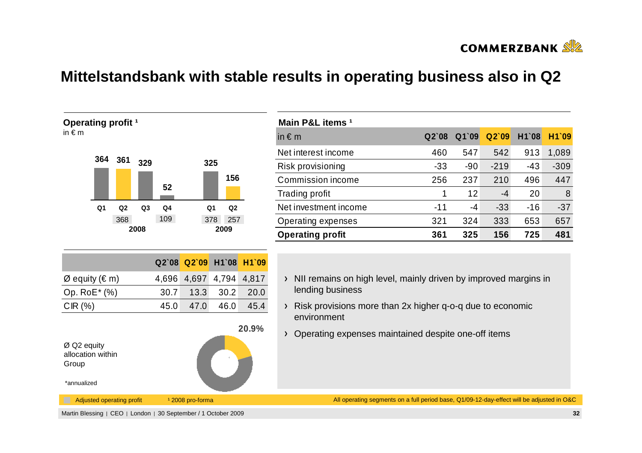

## **Mittelstandsbank with stable results in operating business also in Q2**



| Main P&L items <sup>1</sup> |         |       |        |       |        |
|-----------------------------|---------|-------|--------|-------|--------|
| in $\epsilon$ m             | $Q2$ 08 | Q1`09 | Q2'09  | H1`08 | H1`09  |
| Net interest income         | 460     | 547   | 542    | 913   | 1,089  |
| Risk provisioning           | $-33$   | $-90$ | $-219$ | $-43$ | $-309$ |
| Commission income           | 256     | 237   | 210    | 496   | 447    |
| <b>Trading profit</b>       | 1       | 12    | -4     | 20    | 8      |
| Net investment income       | $-11$   | -4    | $-33$  | $-16$ | $-37$  |
| Operating expenses          | 321     | 324   | 333    | 653   | 657    |
| <b>Operating profit</b>     | 361     | 325   | 156    | 725   | 481    |

- $\rightarrow$  NII remains on high level, mainly driven by improved margins in lending business
- Risk provisions more than 2x higher q-o-q due to economic environment
- Operating expenses maintained despite one-off items

All operating segments on a full period base, Q1/09-12-day-effect will be adjusted in O&C

Martin Blessing | CEO | London | 30 September / 1 October 2009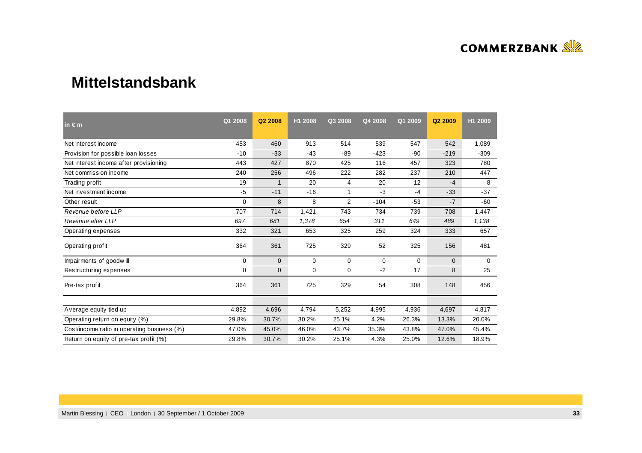

### **Mittelstandsbank**

| $\mathsf{in} \in \mathsf{m}$                | Q1 2008 | Q2 2008      | H1 2008     | Q3 2008        | Q4 2008     | Q1 2009     | Q2 2009      | H1 2009 |
|---------------------------------------------|---------|--------------|-------------|----------------|-------------|-------------|--------------|---------|
| Net interest income                         | 453     | 460          | 913         | 514            | 539         | 547         | 542          | 1,089   |
| Provision for possible loan losses          | $-10$   | $-33$        | $-43$       | $-89$          | $-423$      | $-90$       | $-219$       | $-309$  |
| Net interest income after provisioning      | 443     | 427          | 870         | 425            | 116         | 457         | 323          | 780     |
| Net commission income                       | 240     | 256          | 496         | 222            | 282         | 237         | 210          | 447     |
| Trading profit                              | 19      | 1            | 20          | 4              | 20          | 12          | $-4$         | 8       |
| Net investment income                       | $-5$    | $-11$        | $-16$       |                | $-3$        | $-4$        | $-33$        | $-37$   |
| Other result                                | 0       | 8            | 8           | $\overline{2}$ | $-104$      | $-53$       | $-7$         | $-60$   |
| Revenue before LLP                          | 707     | 714          | 1,421       | 743            | 734         | 739         | 708          | 1,447   |
| Revenue after LLP                           | 697     | 681          | 1,378       | 654            | 311         | 649         | 489          | 1,138   |
| Operating expenses                          | 332     | 321          | 653         | 325            | 259         | 324         | 333          | 657     |
| Operating profit                            | 364     | 361          | 725         | 329            | 52          | 325         | 156          | 481     |
| Impairments of goodwill                     | 0       | $\mathbf{0}$ | $\mathbf 0$ | $\mathbf 0$    | $\mathbf 0$ | $\mathbf 0$ | $\mathbf{0}$ | 0       |
| Restructuring expenses                      | 0       | 0            | 0           | $\mathbf 0$    | $-2$        | 17          | 8            | 25      |
| Pre-tax profit                              | 364     | 361          | 725         | 329            | 54          | 308         | 148          | 456     |
|                                             |         |              |             |                |             |             |              |         |
| Average equity tied up                      | 4,892   | 4,696        | 4,794       | 5,252          | 4,995       | 4,936       | 4,697        | 4,817   |
| Operating return on equity (%)              | 29.8%   | 30.7%        | 30.2%       | 25.1%          | 4.2%        | 26.3%       | 13.3%        | 20.0%   |
| Cost/income ratio in operating business (%) | 47.0%   | 45.0%        | 46.0%       | 43.7%          | 35.3%       | 43.8%       | 47.0%        | 45.4%   |
| Return on equity of pre-tax profit (%)      | 29.8%   | 30.7%        | 30.2%       | 25.1%          | 4.3%        | 25.0%       | 12.6%        | 18.9%   |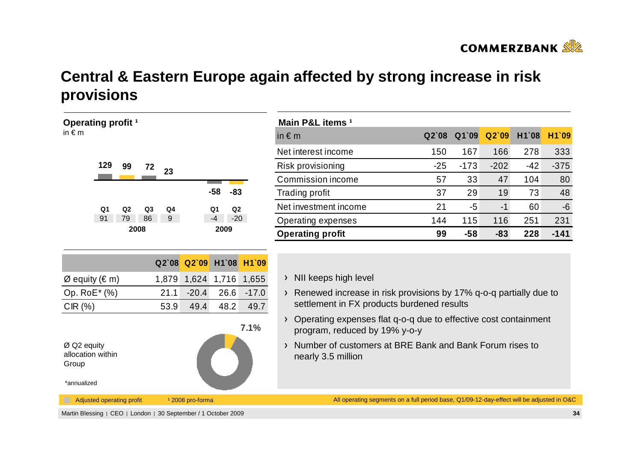

# **Central & Eastern Europe again affected by strong increase in risk provisions**

| Operating profit <sup>1</sup>                                                                                                                                                                            |                                        | Main P&L items <sup>1</sup>                                                                                                                                                                                                                                                                                                                                                              |       |        |        |       |        |
|----------------------------------------------------------------------------------------------------------------------------------------------------------------------------------------------------------|----------------------------------------|------------------------------------------------------------------------------------------------------------------------------------------------------------------------------------------------------------------------------------------------------------------------------------------------------------------------------------------------------------------------------------------|-------|--------|--------|-------|--------|
| in $\epsilon$ m                                                                                                                                                                                          |                                        | in $\epsilon$ m                                                                                                                                                                                                                                                                                                                                                                          | Q2'08 | Q1`09  | Q2`09  | H1`08 | H1`09  |
|                                                                                                                                                                                                          |                                        | Net interest income                                                                                                                                                                                                                                                                                                                                                                      | 150   | 167    | 166    | 278   | 333    |
| 129<br>99<br>72<br>23                                                                                                                                                                                    |                                        | Risk provisioning                                                                                                                                                                                                                                                                                                                                                                        | $-25$ | $-173$ | $-202$ | $-42$ | $-375$ |
|                                                                                                                                                                                                          |                                        | Commission income                                                                                                                                                                                                                                                                                                                                                                        | 57    | 33     | 47     | 104   | 80     |
| $-58$<br>$-83$                                                                                                                                                                                           |                                        | Trading profit                                                                                                                                                                                                                                                                                                                                                                           | 37    | 29     | 19     | 73    | 48     |
| Q <sub>1</sub><br>Q2<br>Q <sub>3</sub><br>Q4<br>Q2<br>Q1                                                                                                                                                 |                                        | Net investment income                                                                                                                                                                                                                                                                                                                                                                    | 21    | $-5$   | $-1$   | 60    | $-6$   |
| 91<br>86<br>79<br>$9^{\circ}$<br>$-4$                                                                                                                                                                    | $-20$                                  | Operating expenses                                                                                                                                                                                                                                                                                                                                                                       | 144   | 115    | 116    | 251   | 231    |
| 2008<br>2009                                                                                                                                                                                             |                                        | <b>Operating profit</b>                                                                                                                                                                                                                                                                                                                                                                  | 99    | $-58$  | $-83$  | 228   | $-141$ |
| Q2`09<br>Q2`08<br>1,879 1,624 1,716 1,655<br>$Ø$ equity (€ m)<br>Op. RoE* (%)<br>$-20.4$<br>26.6<br>21.1<br>CIR(%)<br>48.2<br>53.9<br>49.4<br>$Ø$ Q2 equity<br>allocation within<br>Group<br>*annualized | H1`08 H1`09<br>$-17.0$<br>49.7<br>7.1% | NII keeps high level<br>$\sum_{i=1}^{n}$<br>Renewed increase in risk provisions by 17% q-o-q partially due to<br>$\sum_{i=1}^{n}$<br>settlement in FX products burdened results<br>Operating expenses flat q-o-q due to effective cost containment<br>$\sum$<br>program, reduced by 19% y-o-y<br>Number of customers at BRE Bank and Bank Forum rises to<br>$\sum$<br>nearly 3.5 million |       |        |        |       |        |
| Adjusted operating profit<br><sup>1</sup> 2008 pro-forma                                                                                                                                                 |                                        | All operating segments on a full period base, Q1/09-12-day-effect will be adjusted in O&C                                                                                                                                                                                                                                                                                                |       |        |        |       |        |
| Martin Blessing   CEO   London   30 September / 1 October 2009                                                                                                                                           |                                        |                                                                                                                                                                                                                                                                                                                                                                                          |       |        |        |       | 34     |

| Main P&L items 1        |       |        |        |       |        |
|-------------------------|-------|--------|--------|-------|--------|
| in $\epsilon$ m         | Q2'08 | Q1`09  | Q2'09  | H1`08 | H1`09  |
| Net interest income     | 150   | 167    | 166    | 278   | 333    |
| Risk provisioning       | $-25$ | $-173$ | $-202$ | $-42$ | $-375$ |
| Commission income       | 57    | 33     | 47     | 104   | 80     |
| <b>Trading profit</b>   | 37    | 29     | 19     | 73    | 48     |
| Net investment income   | 21    | -5     | $-1$   | 60    | $-6$   |
| Operating expenses      | 144   | 115    | 116    | 251   | 231    |
| <b>Operating profit</b> | 99    | -58    | $-83$  | 228   | -141   |

- ps high level
- ed increase in risk provisions by 17% q-o-q partially due to ent in FX products burdened results
- ng expenses flat q-o-q due to effective cost containment n, reduced by 19% y-o-y
- of customers at BRE Bank and Bank Forum rises to 3.5 million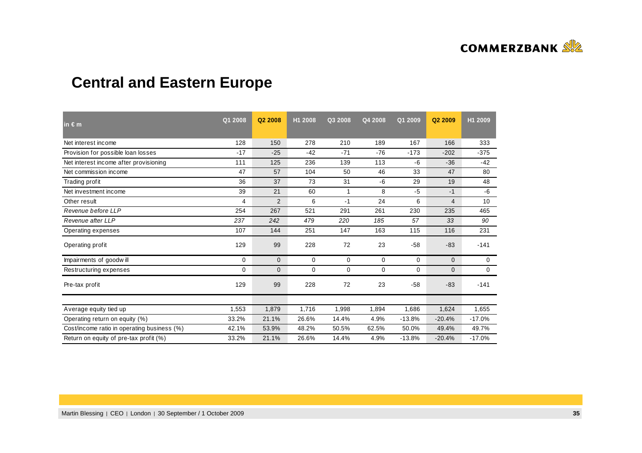

# **Central and Eastern Europe**

| in $\epsilon$ m                             | Q1 2008  | Q2 2008        | H1 2008     | Q3 2008 | Q4 2008 | Q1 2009  | Q <sub>2</sub> 2009 | H1 2009  |
|---------------------------------------------|----------|----------------|-------------|---------|---------|----------|---------------------|----------|
| Net interest income                         | 128      | 150            | 278         | 210     | 189     | 167      | 166                 | 333      |
| Provision for possible loan losses          | $-17$    | $-25$          | $-42$       | $-71$   | $-76$   | $-173$   | $-202$              | $-375$   |
| Net interest income after provisioning      | 111      | 125            | 236         | 139     | 113     | -6       | $-36$               | $-42$    |
| Net commission income                       | 47       | 57             | 104         | 50      | 46      | 33       | 47                  | 80       |
| Trading profit                              | 36       | 37             | 73          | 31      | -6      | 29       | 19                  | 48       |
| Net investment income                       | 39       | 21             | 60          | 1       | 8       | $-5$     | $-1$                | $-6$     |
| Other result                                | 4        | $\overline{2}$ | 6           | $-1$    | 24      | 6        | $\overline{4}$      | 10       |
| Revenue before LLP                          | 254      | 267            | 521         | 291     | 261     | 230      | 235                 | 465      |
| Revenue after LLP                           | 237      | 242            | 479         | 220     | 185     | 57       | 33                  | 90       |
| Operating expenses                          | 107      | 144            | 251         | 147     | 163     | 115      | 116                 | 231      |
| Operating profit                            | 129      | 99             | 228         | 72      | 23      | $-58$    | $-83$               | $-141$   |
| Impairments of goodwill                     | $\Omega$ | $\mathbf{0}$   | $\mathbf 0$ | 0       | 0       | $\Omega$ | $\Omega$            | 0        |
| Restructuring expenses                      | 0        | $\mathbf{0}$   | $\mathbf 0$ | 0       | 0       | 0        | $\mathbf{0}$        | 0        |
| Pre-tax profit                              | 129      | 99             | 228         | 72      | 23      | $-58$    | $-83$               | $-141$   |
|                                             |          |                |             |         |         |          |                     |          |
| Average equity tied up                      | 1,553    | 1,879          | 1,716       | 1,998   | 1,894   | 1,686    | 1,624               | 1,655    |
| Operating return on equity (%)              | 33.2%    | 21.1%          | 26.6%       | 14.4%   | 4.9%    | $-13.8%$ | $-20.4%$            | $-17.0%$ |
| Cost/income ratio in operating business (%) | 42.1%    | 53.9%          | 48.2%       | 50.5%   | 62.5%   | 50.0%    | 49.4%               | 49.7%    |
| Return on equity of pre-tax profit (%)      | 33.2%    | 21.1%          | 26.6%       | 14.4%   | 4.9%    | $-13.8%$ | $-20.4%$            | $-17.0%$ |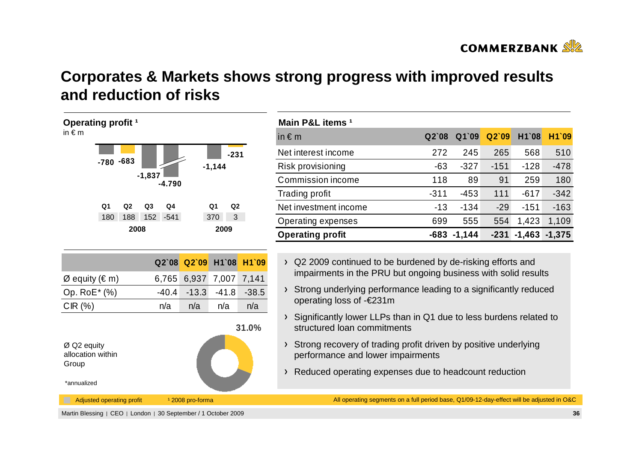

# **Corporates & Markets shows strong progress with improved resultsand reduction of risks**



| Main P&L items <sup>1</sup> |        |          |        |          |          |
|-----------------------------|--------|----------|--------|----------|----------|
| in $\epsilon$ m             | Q2'08  | Q1`09    | Q2'09  | H1`08    | H1`09    |
| Net interest income         | 272    | 245      | 265    | 568      | 510      |
| Risk provisioning           | $-63$  | $-327$   | $-151$ | $-128$   | $-478$   |
| Commission income           | 118    | 89       | 91     | 259      | 180      |
| Trading profit              | $-311$ | $-453$   | 111    | $-617$   | $-342$   |
| Net investment income       | $-13$  | $-134$   | $-29$  | $-151$   | $-163$   |
| Operating expenses          | 699    | 555      | 554    | 1,423    | 1,109    |
| <b>Operating profit</b>     | -683   | $-1,144$ | $-231$ | $-1,463$ | $-1,375$ |

- > Q2 2009 continued to be burdened by de-risking efforts and impairments in the PRU but ongoing business with solid results
- Strong underlying performance leading to a significantly reducedoperating loss of -€231m
- Significantly lower LLPs than in Q1 due to less burdens related to structured loan commitments
- Strong recovery of trading profit driven by positive underlying performance and lower impairments
- Reduced operating expenses due to headcount reduction

All operating segments on a full period base, Q1/09-12-day-effect will be adjusted in O&C

Martin Blessing | CEO | London | 30 September / 1 October 2009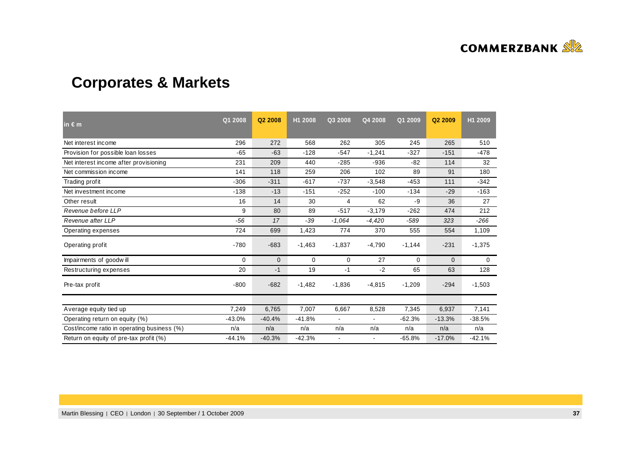

# **Corporates & Markets**

| in $\epsilon$ m                             | Q1 2008  | Q2 2008      | H1 2008  | Q3 2008  | Q4 2008        | Q1 2009  | Q2 2009      | H1 2009  |
|---------------------------------------------|----------|--------------|----------|----------|----------------|----------|--------------|----------|
| Net interest income                         | 296      | 272          | 568      | 262      | 305            | 245      | 265          | 510      |
| Provision for possible loan losses          | $-65$    | $-63$        | $-128$   | $-547$   | $-1,241$       | $-327$   | $-151$       | $-478$   |
| Net interest income after provisioning      | 231      | 209          | 440      | $-285$   | $-936$         | $-82$    | 114          | 32       |
| Net commission income                       | 141      | 118          | 259      | 206      | 102            | 89       | 91           | 180      |
| Trading profit                              | $-306$   | $-311$       | $-617$   | $-737$   | $-3,548$       | $-453$   | 111          | $-342$   |
| Net investment income                       | $-138$   | $-13$        | $-151$   | $-252$   | $-100$         | $-134$   | $-29$        | $-163$   |
| Other result                                | 16       | 14           | 30       | 4        | 62             | -9       | 36           | 27       |
| Revenue before LLP                          | 9        | 80           | 89       | $-517$   | $-3,179$       | $-262$   | 474          | 212      |
| Revenue after LLP                           | $-56$    | 17           | -39      | $-1.064$ | $-4,420$       | -589     | 323          | $-266$   |
| Operating expenses                          | 724      | 699          | 1,423    | 774      | 370            | 555      | 554          | 1,109    |
| Operating profit                            | $-780$   | $-683$       | $-1,463$ | $-1,837$ | $-4,790$       | $-1,144$ | $-231$       | $-1,375$ |
| Impairments of goodwill                     | 0        | $\mathbf{0}$ | 0        | 0        | 27             | 0        | $\mathbf{0}$ | 0        |
| Restructuring expenses                      | 20       | $-1$         | 19       | $-1$     | $-2$           | 65       | 63           | 128      |
| Pre-tax profit                              | $-800$   | $-682$       | $-1,482$ | $-1,836$ | $-4,815$       | $-1,209$ | $-294$       | $-1,503$ |
|                                             |          |              |          |          |                |          |              |          |
| Average equity tied up                      | 7,249    | 6,765        | 7,007    | 6,667    | 8,528          | 7,345    | 6,937        | 7,141    |
| Operating return on equity (%)              | $-43.0%$ | $-40.4%$     | $-41.8%$ |          | $\blacksquare$ | $-62.3%$ | $-13.3%$     | $-38.5%$ |
| Cost/income ratio in operating business (%) | n/a      | n/a          | n/a      | n/a      | n/a            | n/a      | n/a          | n/a      |
| Return on equity of pre-tax profit (%)      | $-44.1%$ | $-40.3%$     | $-42.3%$ |          |                | $-65.8%$ | $-17.0%$     | $-42.1%$ |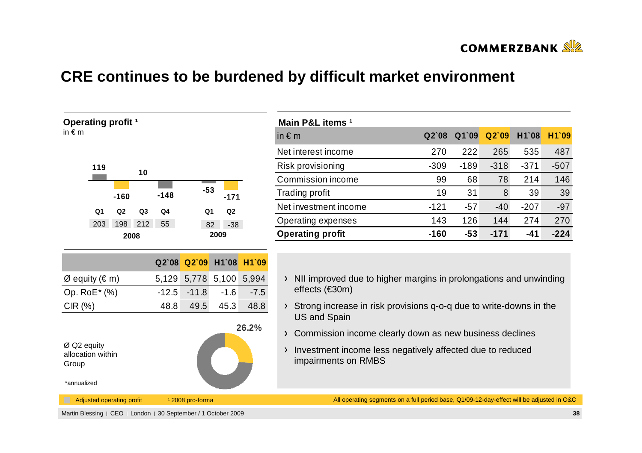

## **CRE continues to be burdened by difficult market environment**

| Operating profit <sup>1</sup><br>in $\epsilon$ m         |                |                           |                |         |                             |               |        | M<br>in:                                             |
|----------------------------------------------------------|----------------|---------------------------|----------------|---------|-----------------------------|---------------|--------|------------------------------------------------------|
|                                                          | 119            | $-160$                    | 10             | $-148$  | $-53$                       | $-171$        |        | Ne<br>Ris<br>C <sub>C</sub><br>Tra<br>Ne             |
|                                                          | Q <sub>1</sub> | Q2                        | Q <sub>3</sub> | Q4      | Q <sub>1</sub>              | Q2            |        | Op                                                   |
|                                                          | 203            | 198<br>2008               | 212            | 55      | 82                          | $-38$<br>2009 |        | Op                                                   |
|                                                          |                |                           |                |         |                             |               |        |                                                      |
|                                                          |                |                           |                | Q2`08   | Q2`09                       | H1`08         | H1`09  |                                                      |
| Ø equity (€ m)                                           |                |                           |                | 5,129   | 5,778                       | 5,100         | 5,994  | $\overline{\phantom{0}}$                             |
| Op. RoE* (%)                                             |                |                           |                | $-12.5$ | $-11.8$                     | $-1.6$        | $-7.5$ |                                                      |
| CIR(%)                                                   |                |                           |                | 48.8    | 49.5                        | 45.3          | 48.8   | $\overline{\phantom{0}}$                             |
| Ø Q2 equity<br>allocation within<br>Group<br>*annualized |                |                           |                |         |                             |               | 26.2%  | $\overline{\phantom{0}}$<br>$\overline{\phantom{0}}$ |
|                                                          |                |                           |                |         |                             |               |        |                                                      |
| L.                                                       |                | Adjusted operating profit |                |         | <sup>1</sup> 2008 pro-forma |               |        |                                                      |

| Main P&L items 1        |         |        |        |        |        |
|-------------------------|---------|--------|--------|--------|--------|
| in $\epsilon$ m         | $Q2$ 08 | Q1`09  | Q2'09  | H1`08  | H1`09  |
| Net interest income     | 270     | 222    | 265    | 535    | 487    |
| Risk provisioning       | $-309$  | $-189$ | $-318$ | $-371$ | $-507$ |
| Commission income       | 99      | 68     | 78     | 214    | 146    |
| Trading profit          | 19      | 31     | 8      | 39     | 39     |
| Net investment income   | $-121$  | $-57$  | $-40$  | $-207$ | $-97$  |
| Operating expenses      | 143     | 126    | 144    | 274    | 270    |
| <b>Operating profit</b> | $-160$  | $-53$  | $-171$ | -41    | $-224$ |

- NII improved due to higher margins in prolongations and unwinding effects (€30m)
- Strong increase in risk provisions q-o-q due to write-downs in the US and Spain
- Commission income clearly down as new business declines
- Investment income less negatively affected due to reduced impairments on RMBS

All operating segments on a full period base, Q1/09-12-day-effect will be adjusted in O&C

Martin Blessing | CEO | London | 30 September / 1 October 2009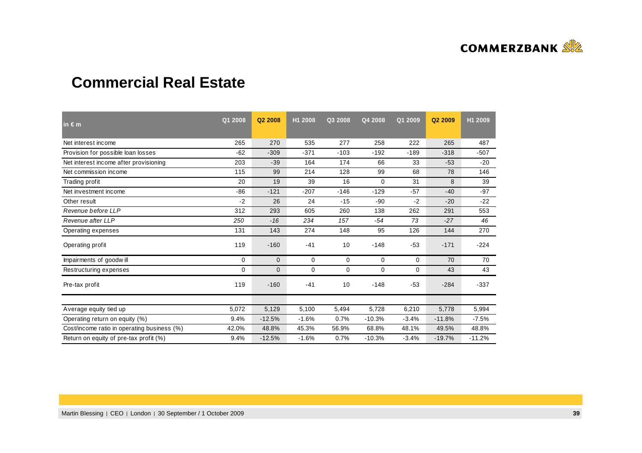

## **Commercial Real Estate**

| in $\epsilon$ m                             | Q1 2008 | Q2 2008      | H1 2008     | Q3 2008     | Q4 2008     | Q1 2009 | Q2 2009  | H1 2009  |
|---------------------------------------------|---------|--------------|-------------|-------------|-------------|---------|----------|----------|
| Net interest income                         | 265     | 270          | 535         | 277         | 258         | 222     | 265      | 487      |
| Provision for possible loan losses          | $-62$   | $-309$       | $-371$      | $-103$      | $-192$      | $-189$  | $-318$   | $-507$   |
| Net interest income after provisioning      | 203     | $-39$        | 164         | 174         | 66          | 33      | $-53$    | $-20$    |
| Net commission income                       | 115     | 99           | 214         | 128         | 99          | 68      | 78       | 146      |
| Trading profit                              | 20      | 19           | 39          | 16          | 0           | 31      | 8        | 39       |
| Net investment income                       | $-86$   | $-121$       | $-207$      | $-146$      | $-129$      | $-57$   | $-40$    | $-97$    |
| Other result                                | $-2$    | 26           | 24          | $-15$       | $-90$       | $-2$    | $-20$    | $-22$    |
| Revenue before LLP                          | 312     | 293          | 605         | 260         | 138         | 262     | 291      | 553      |
| Revenue after LLP                           | 250     | $-16$        | 234         | 157         | $-54$       | 73      | $-27$    | 46       |
| Operating expenses                          | 131     | 143          | 274         | 148         | 95          | 126     | 144      | 270      |
| Operating profit                            | 119     | $-160$       | $-41$       | 10          | $-148$      | $-53$   | $-171$   | $-224$   |
| Impairments of goodwill                     | 0       | $\mathbf{0}$ | $\mathbf 0$ | $\mathbf 0$ | $\mathbf 0$ | 0       | 70       | 70       |
| Restructuring expenses                      | 0       | 0            | 0           | $\mathbf 0$ | 0           | 0       | 43       | 43       |
| Pre-tax profit                              | 119     | $-160$       | $-41$       | 10          | $-148$      | $-53$   | $-284$   | $-337$   |
|                                             |         |              |             |             |             |         |          |          |
| Average equity tied up                      | 5,072   | 5,129        | 5,100       | 5,494       | 5,728       | 6,210   | 5,778    | 5,994    |
| Operating return on equity (%)              | 9.4%    | $-12.5%$     | $-1.6%$     | 0.7%        | $-10.3%$    | $-3.4%$ | $-11.8%$ | $-7.5%$  |
| Cost/income ratio in operating business (%) | 42.0%   | 48.8%        | 45.3%       | 56.9%       | 68.8%       | 48.1%   | 49.5%    | 48.8%    |
| Return on equity of pre-tax profit (%)      | 9.4%    | $-12.5%$     | $-1.6%$     | 0.7%        | $-10.3%$    | $-3.4%$ | $-19.7%$ | $-11.2%$ |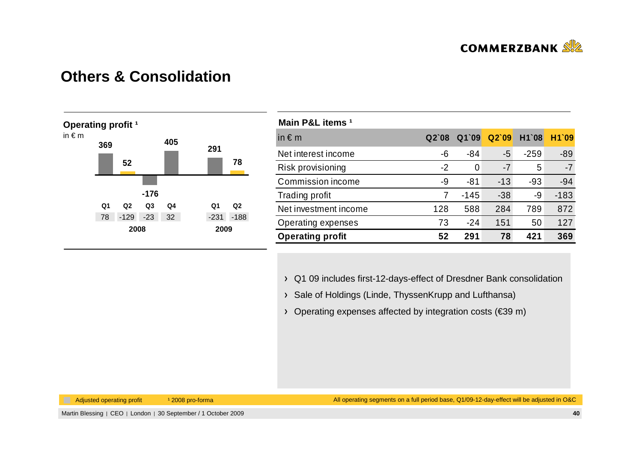

### **Others & Consolidation**



| Main P&L items <sup>1</sup> |         |        |       |        |        |
|-----------------------------|---------|--------|-------|--------|--------|
| in $\epsilon$ m             | $Q2$ 08 | Q1`09  | Q2'09 | H1`08  | H1`09  |
| Net interest income         | -6      | $-84$  | -5    | $-259$ | $-89$  |
| Risk provisioning           | $-2$    | 0      | $-7$  | 5      | $-7$   |
| Commission income           | -9      | $-81$  | $-13$ | $-93$  | $-94$  |
| <b>Trading profit</b>       | 7       | $-145$ | $-38$ | -9     | $-183$ |
| Net investment income       | 128     | 588    | 284   | 789    | 872    |
| Operating expenses          | 73      | $-24$  | 151   | 50     | 127    |
| <b>Operating profit</b>     | 52      | 291    | 78    | 421    | 369    |

Q1 09 includes first-12-days-effect of Dresdner Bank consolidation

- > Sale of Holdings (Linde, ThyssenKrupp and Lufthansa)
- Operating expenses affected by integration costs (€39 m)

Adjusted operating profit 12008 pro-forma

All operating segments on a full period base, Q1/09-12-day-effect will be adjusted in O&C

Martin Blessing | CEO | London | 30 September / 1 October 2009 **<sup>40</sup>**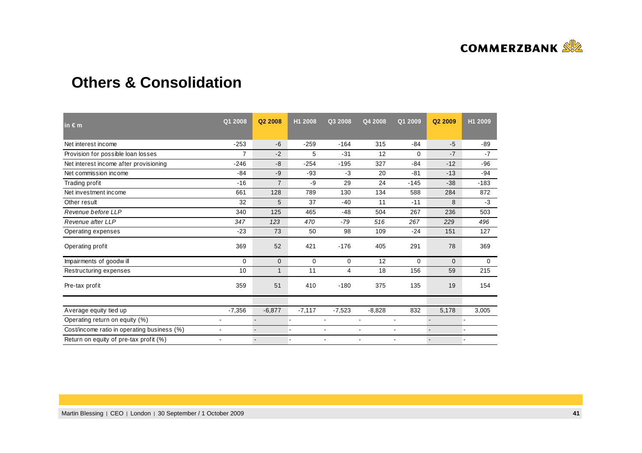

## **Others & Consolidation**

| in $\epsilon$ m                             | Q1 2008                  | Q <sub>2</sub> 2008 | H1 2008        | Q3 2008        | Q4 2008                  | Q1 2009        | Q2 2009        | H1 2009 |
|---------------------------------------------|--------------------------|---------------------|----------------|----------------|--------------------------|----------------|----------------|---------|
| Net interest income                         | $-253$                   | $-6$                | $-259$         | $-164$         | 315                      | $-84$          | $-5$           | $-89$   |
| Provision for possible loan losses          | $\overline{7}$           | $-2$                | 5              | $-31$          | 12                       | $\Omega$       | $-7$           | $-7$    |
| Net interest income after provisioning      | $-246$                   | $-8$                | $-254$         | $-195$         | 327                      | $-84$          | $-12$          | $-96$   |
| Net commission income                       | $-84$                    | $-9$                | $-93$          | $-3$           | 20                       | $-81$          | $-13$          | $-94$   |
| Trading profit                              | $-16$                    | $\overline{7}$      | -9             | 29             | 24                       | $-145$         | $-38$          | $-183$  |
| Net investment income                       | 661                      | 128                 | 789            | 130            | 134                      | 588            | 284            | 872     |
| Other result                                | 32                       | 5                   | 37             | $-40$          | 11                       | $-11$          | 8              | $-3$    |
| Revenue before LLP                          | 340                      | 125                 | 465            | $-48$          | 504                      | 267            | 236            | 503     |
| Revenue after LLP                           | 347                      | 123                 | 470            | $-79$          | 516                      | 267            | 229            | 496     |
| Operating expenses                          | $-23$                    | 73                  | 50             | 98             | 109                      | $-24$          | 151            | 127     |
| Operating profit                            | 369                      | 52                  | 421            | $-176$         | 405                      | 291            | 78             | 369     |
| Impairments of goodwill                     | 0                        | $\mathbf{0}$        | 0              | 0              | 12                       | 0              | $\mathbf{0}$   | 0       |
| Restructuring expenses                      | 10                       | $\mathbf{1}$        | 11             | 4              | 18                       | 156            | 59             | 215     |
| Pre-tax profit                              | 359                      | 51                  | 410            | $-180$         | 375                      | 135            | 19             | 154     |
|                                             |                          |                     |                |                |                          |                |                |         |
| Average equity tied up                      | $-7,356$                 | $-6,877$            | $-7,117$       | $-7,523$       | $-8,828$                 | 832            | 5,178          | 3,005   |
| Operating return on equity (%)              | $\overline{\phantom{a}}$ | $\overline{a}$      | ٠              | ٠              | $\overline{\phantom{a}}$ | $\sim$         | $\overline{a}$ |         |
| Cost/income ratio in operating business (%) | $\blacksquare$           |                     | $\blacksquare$ | $\blacksquare$ | $\blacksquare$           | $\blacksquare$ |                |         |
| Return on equity of pre-tax profit (%)      | $\overline{\phantom{a}}$ |                     |                | ٠              | $\overline{\phantom{a}}$ | $\sim$         |                |         |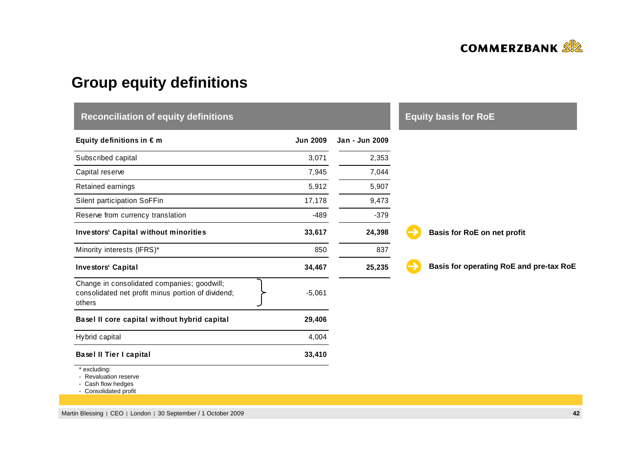

# **Group equity definitions**

| <b>Reconciliation of equity definitions</b>                                                                 |                 |                |                                         |  |  |  |  |
|-------------------------------------------------------------------------------------------------------------|-----------------|----------------|-----------------------------------------|--|--|--|--|
| Equity definitions in $\epsilon$ m                                                                          | <b>Jun 2009</b> | Jan - Jun 2009 |                                         |  |  |  |  |
| Subscribed capital                                                                                          | 3,071           | 2,353          |                                         |  |  |  |  |
| Capital reserve                                                                                             | 7,945           | 7,044          |                                         |  |  |  |  |
| Retained earnings                                                                                           | 5,912           | 5,907          |                                         |  |  |  |  |
| Silent participation SoFFin                                                                                 | 17,178          | 9,473          |                                         |  |  |  |  |
| Reserve from currency translation                                                                           | $-489$          | $-379$         |                                         |  |  |  |  |
| <b>Investors' Capital without minorities</b>                                                                | 33,617          | 24,398         | Basis for RoE on net profit             |  |  |  |  |
| Minority interests (IFRS)*                                                                                  | 850             | 837            |                                         |  |  |  |  |
| <b>Investors' Capital</b>                                                                                   | 34,467          | 25,235         | Basis for operating RoE and pre-tax RoE |  |  |  |  |
| Change in consolidated companies; goodwill;<br>consolidated net profit minus portion of dividend;<br>others | $-5,061$        |                |                                         |  |  |  |  |
| Basel II core capital without hybrid capital                                                                | 29,406          |                |                                         |  |  |  |  |
| Hybrid capital                                                                                              | 4,004           |                |                                         |  |  |  |  |
| <b>Basel II Tier I capital</b>                                                                              | 33,410          |                |                                         |  |  |  |  |
| * excluding:<br>- Revaluation reserve<br>- Cash flow hedges                                                 |                 |                |                                         |  |  |  |  |

- Cash flow hedges<br>- Consolidated profit

Martin Blessing | CEO | London | 30 September / 1 October 2009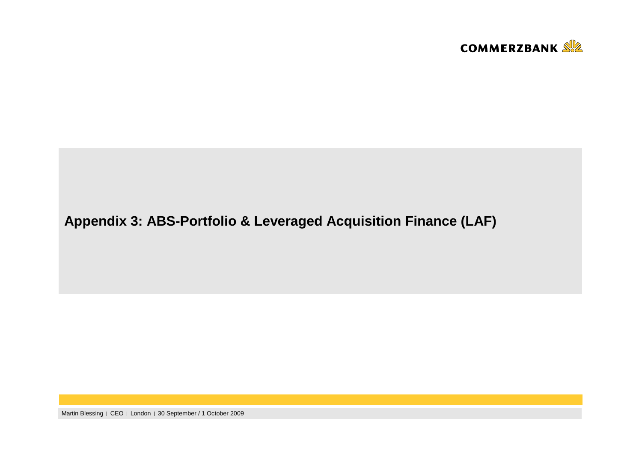

# **Appendix 3: ABS-Portfolio & Leveraged Acquisition Finance (LAF)**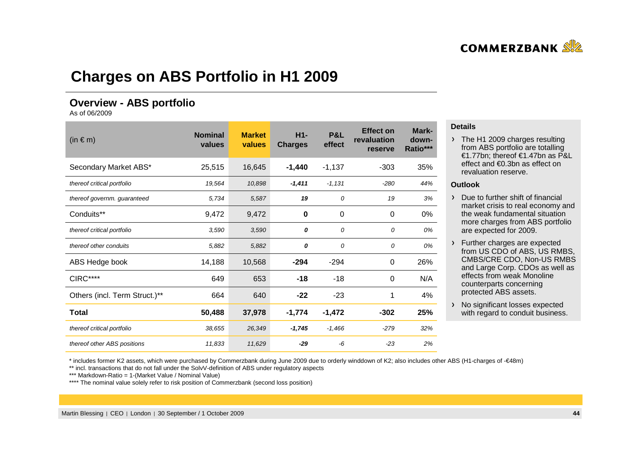

## **Charges on ABS Portfolio in H1 2009**

### **Overview - ABS portfolio**

As of 06/2009

| $(in \in m)$                  | <b>Nominal</b><br>values | H <sub>1</sub> -<br><b>Market</b><br>values<br><b>Charges</b> |                      | <b>P&amp;L</b><br>effect | <b>Effect on</b><br>revaluation<br>reserve | Mark-<br>down-<br>Ratio*** |
|-------------------------------|--------------------------|---------------------------------------------------------------|----------------------|--------------------------|--------------------------------------------|----------------------------|
| Secondary Market ABS*         | 25,515                   | 16,645                                                        | $-1,440$             | $-1,137$                 | $-303$                                     | 35%                        |
| thereof critical portfolio    | 19,564                   | 10,898                                                        | $-1,411$<br>$-1,131$ |                          | $-280$                                     | 44%                        |
| thereof governm. guaranteed   | 5,734                    | 5,587                                                         | 19                   | 0                        | 19                                         | 3%                         |
| Conduits**                    | 9,472                    | 9,472                                                         | 0                    | 0                        | 0                                          | 0%                         |
| thereof critical portfolio    | 3,590                    | 3,590                                                         | 0                    | 0                        | 0                                          | 0%                         |
| thereof other conduits        | 5,882                    | 5,882                                                         | 0                    | 0                        | 0                                          | 0%                         |
| ABS Hedge book                | 14,188                   | 10,568                                                        | $-294$               | $-294$                   | 0                                          | 26%                        |
| <b>CIRC****</b>               | 649                      | 653                                                           | $-18$                | $-18$                    | 0                                          | N/A                        |
| Others (incl. Term Struct.)** | 664                      | 640                                                           | $-22$                | $-23$                    | 1                                          | 4%                         |
| <b>Total</b>                  | 50,488                   | 37,978                                                        | $-1,774$             | $-1,472$                 | $-302$                                     | 25%                        |
| thereof critical portfolio    | 38,655                   | 26,349                                                        | $-1,745$             | $-1,466$                 | $-279$                                     | 32%                        |
| thereof other ABS positions   | 11,833                   | 11,629                                                        | $-29$                | -6                       | $-23$                                      | 2%                         |

#### **Details**

> The H1 2009 charges resulting from ABS portfolio are totalling €1.77bn; thereof €1.47bn as P&L effect and €0.3bn as effect on revaluation reserve.

#### **Outlook**

 $\triangleright$  Due to further shift of financial market crisis to real economy and the weak fundamental situation more charges from ABS portfolio are expected for 2009.

- Further charges are expected from US CDO of ABS, US RMBS, CMBS/CRE CDO, Non-US RMBS and Large Corp. CDOs as well as effects from weak Monolinecounterparts concerning protected ABS assets.
- > No significant losses expected with regard to conduit business.

\* includes former K2 assets, which were purchased by Commerzbank during June 2009 due to orderly winddown of K2; also includes other ABS (H1-charges of -€48m)

\*\* incl. transactions that do not fall under the SolvV-definition of ABS under regulatory aspects

\*\*\* Markdown-Ratio = 1-(Market Value / Nominal Value)

\*\*\*\* The nominal value solely refer to risk position of Commerzbank (second loss position)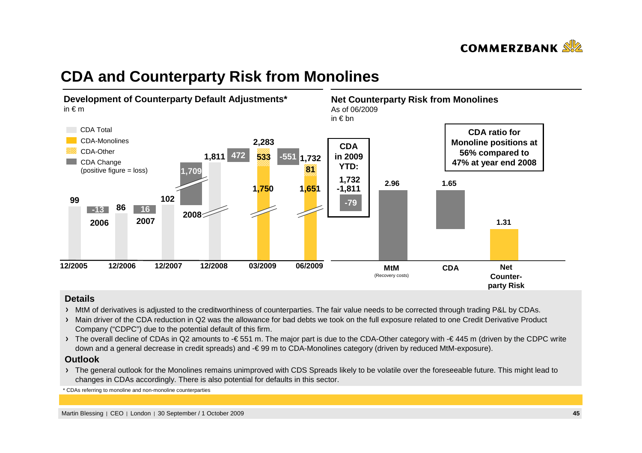

## **CDA and Counterparty Risk from Monolines**



#### **Details**

- MtM of derivatives is adjusted to the creditworthiness of counterparties. The fair value needs to be corrected through trading P&L by CDAs.
- > Main driver of the CDA reduction in Q2 was the allowance for bad debts we took on the full exposure related to one Credit Derivative Product Company ("CDPC") due to the potential default of this firm.
- > The overall decline of CDAs in Q2 amounts to -€ 551 m. The major part is due to the CDA-Other category with -€ 445 m (driven by the CDPC write down and a general decrease in credit spreads) and -€ 99 m to CDA-Monolines category (driven by reduced MtM-exposure).

#### **Outlook**

 The general outlook for the Monolines remains unimproved with CDS Spreads likely to be volatile over the foreseeable future. This might lead to changes in CDAs accordingly. There is also potential for defaults in this sector.

\*CDAs referring to monoline and non-monoline counterparties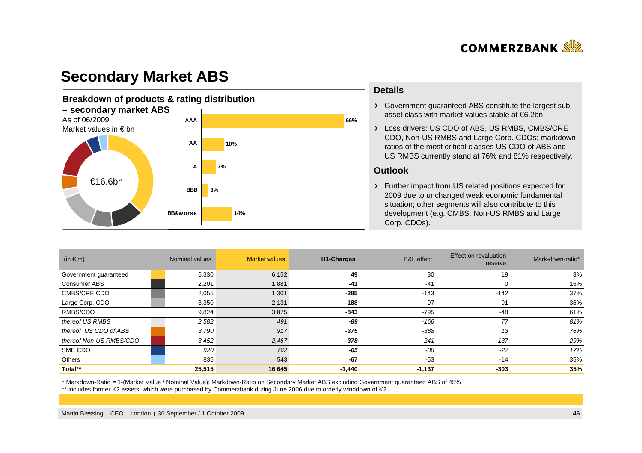

## **Secondary Market ABS**

#### **Breakdown of products & rating distribution – secondary market ABS**As of 06/2009 Market values in € bn€16.6bn**14%3%10%66%7%BB&worseBBBAAAAAA**

#### **Details**

Government guaranteed ABS constitute the largest subasset class with market values stable at €6.2bn.

Loss drivers: US CDO of ABS, US RMBS, CMBS/CRE CDO, Non-US RMBS and Large Corp. CDOs; markdown ratios of the most critical classes US CDO of ABS and US RMBS currently stand at 76% and 81% respectively.

#### **Outlook**

Further impact from US related positions expected for 2009 due to unchanged weak economic fundamental situation; other segments will also contribute to this development (e.g. CMBS, Non-US RMBS and Large Corp. CDOs).

| (in $\in$ m)            | Nominal values | <b>Market values</b> | <b>H1-Charges</b> | P&L effect | Effect on revaluation<br>reserve | Mark-down-ratio* |
|-------------------------|----------------|----------------------|-------------------|------------|----------------------------------|------------------|
| Government guaranteed   | 6,330          | 6,152                | 49                | 30         | 19                               | 3%               |
| Consumer ABS            | 2,201          | 1,881                | $-41$             | $-41$      | 0                                | 15%              |
| <b>CMBS/CRE CDO</b>     | 2,055          | 1,301                | $-285$            | $-143$     | $-142$                           | 37%              |
| Large Corp. CDO         | 3,350          | 2,131                | $-188$            | $-97$      | $-91$                            | 36%              |
| RMBS/CDO                | 9,824          | 3,875                | $-843$            | $-795$     | $-48$                            | 61%              |
| thereof US RMBS         | 2,582          | 491                  | -89               | -166       | 77                               | 81%              |
| thereof US CDO of ABS   | 3,790          | 917                  | -375              | $-388$     | 13                               | 76%              |
| thereof Non-US RMBS/CDO | 3,452          | 2,467                | $-378$            | $-241$     | $-137$                           | 29%              |
| SME CDO                 | 920            | 762                  | -65               | $-38$      | $-27$                            | 17%              |
| Others                  | 835            | 543                  | $-67$             | $-53$      | $-14$                            | 35%              |
| Total**                 | 25,515         | 16,645               | -1,440            | $-1,137$   | $-303$                           | 35%              |

\* Markdown-Ratio = 1-(Market Value / Nominal Value); Markdown-Ratio on Secondary Market ABS excluding Government guaranteed ABS of 45%

\*\* includes former K2 assets, which were purchased by Commerzbank during June 2006 due to orderly winddown of K2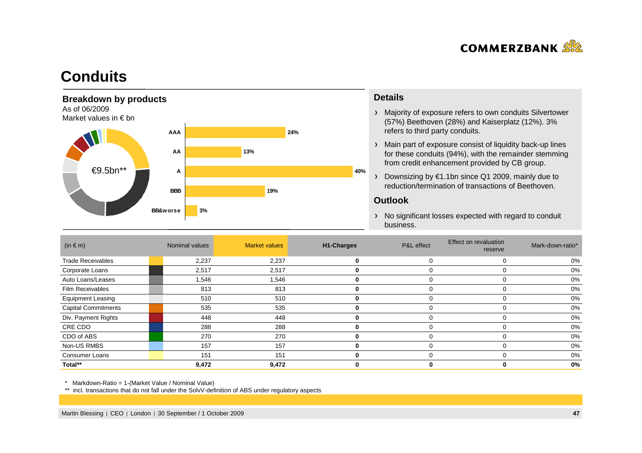

## **Conduits**



#### **Details**

- Majority of exposure refers to own conduits Silvertower(57%) Beethoven (28%) and Kaiserplatz (12%). 3% refers to third party conduits.
- Main part of exposure consist of liquidity back-up lines for these conduits (94%), with the remainder stemming from credit enhancement provided by CB group.
- Downsizing by €1.1bn since Q1 2009, mainly due to reduction/termination of transactions of Beethoven.

#### **Outlook**

> No significant losses expected with regard to conduit business.

| $(in \in m)$               | Nominal values | <b>Market values</b> | H1-Charges | P&L effect | Effect on revaluation<br>reserve | Mark-down-ratio* |
|----------------------------|----------------|----------------------|------------|------------|----------------------------------|------------------|
| <b>Trade Receivables</b>   | 2,237          | 2,237                | 0          |            |                                  | 0%               |
| Corporate Loans            | 2,517          | 2,517                | 0          |            |                                  | 0%               |
| Auto Loans/Leases          | 1,546          | 1,546                | 0          |            |                                  | 0%               |
| <b>Film Receivables</b>    | 813            | 813                  |            |            |                                  | 0%               |
| <b>Equipment Leasing</b>   | 510            | 510                  | 0          |            | 0                                | 0%               |
| <b>Capital Commitments</b> | 535            | 535                  | 0          |            |                                  | 0%               |
| Div. Payment Rights        | 448            | 448                  |            |            |                                  | 0%               |
| CRE CDO                    | 288            | 288                  | 0          |            |                                  | 0%               |
| CDO of ABS                 | 270            | 270                  | 0          |            |                                  | 0%               |
| Non-US RMBS                | 157            | 157                  | 0          |            |                                  | 0%               |
| <b>Consumer Loans</b>      | 151            | 151                  | 0          |            |                                  | 0%               |
| Total**                    | 9,472          | 9,472                |            |            |                                  | 0%               |

\* Markdown-Ratio = 1-(Market Value / Nominal Value)

\*\* incl. transactions that do not fall under the SolvV-definition of ABS under regulatory aspects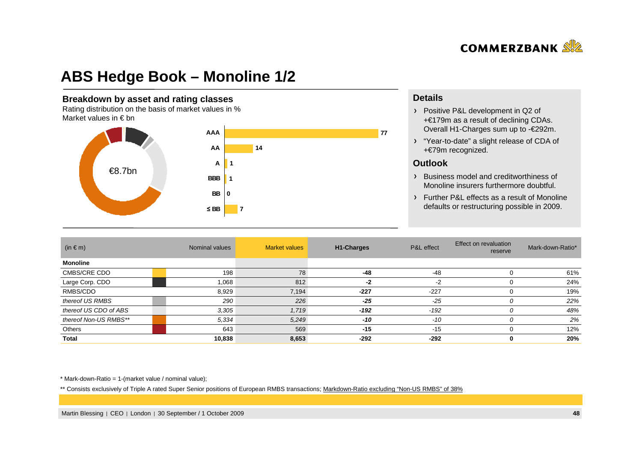

## **ABS Hedge Book – Monoline 1/2**

#### **Breakdown by asset and rating classes**

 Rating distribution on the basis of market values in %Market values in  $\epsilon$  bn



#### **Details**

- Positive P&L development in Q2 of +€179m as a result of declining CDAs. Overall H1-Charges sum up to -€292m.
- "Year-to-date" a slight release of CDA of +€79m recognized.

#### **Outlook**

- Business model and creditworthiness of Monoline insurers furthermore doubtful.
- Further P&L effects as a result of Monolinedefaults or restructuring possible in 2009.

| $(in \in m)$          | Nominal values |       | <b>H1-Charges</b> | P&L effect | Effect on revaluation<br>reserve | Mark-down-Ratio* |
|-----------------------|----------------|-------|-------------------|------------|----------------------------------|------------------|
| <b>Monoline</b>       |                |       |                   |            |                                  |                  |
| <b>CMBS/CRE CDO</b>   | 198            | 78    | -48               | $-48$      |                                  | 61%              |
| Large Corp. CDO       | 1,068          | 812   | -2                | -2         |                                  | 24%              |
| RMBS/CDO              | 8,929          | 7,194 | $-227$            | $-227$     |                                  | 19%              |
| thereof US RMBS       | 290            | 226   | $-25$             | $-25$      |                                  | 22%              |
| thereof US CDO of ABS | 3,305          | 1,719 | $-192$            | $-192$     | 0                                | 48%              |
| thereof Non-US RMBS** | 5,334          | 5,249 | $-10$             | $-10$      | 0                                | 2%               |
| Others                | 643            | 569   | $-15$             | $-15$      |                                  | 12%              |
| Total                 | 10,838         | 8,653 | $-292$            | $-292$     | 0                                | 20%              |

 $*$  Mark-down-Ratio = 1-(market value / nominal value);

\*\* Consists exclusively of Triple A rated Super Senior positions of European RMBS transactions; Markdown-Ratio excluding "Non-US RMBS" of 38%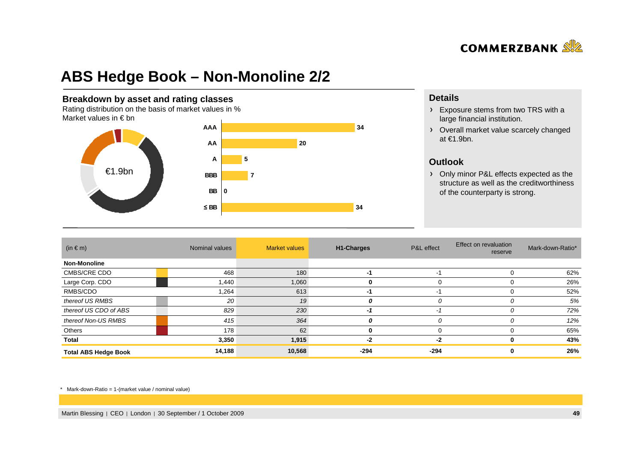

## **ABS Hedge Book – Non-Monoline 2/2**

#### **Breakdown by asset and rating classes**

 Rating distribution on the basis of market values in %Market values in  $\epsilon$  bn



#### **Details**

- Exposure stems from two TRS with a large financial institution.
- Overall market value scarcely changed at €1.9bn.

#### **Outlook**

 Only minor P&L effects expected as the structure as well as the creditworthiness of the counterparty is strong.

| $(in \in m)$                | Nominal values | <b>Market values</b> | H1-Charges | P&L effect | Effect on revaluation<br>reserve | Mark-down-Ratio* |
|-----------------------------|----------------|----------------------|------------|------------|----------------------------------|------------------|
| <b>Non-Monoline</b>         |                |                      |            |            |                                  |                  |
| CMBS/CRE CDO                | 468            | 180                  | -1         | -1         |                                  | 62%              |
| Large Corp. CDO             | 1,440          | 1,060                | 0          | 0          |                                  | 26%              |
| RMBS/CDO                    | 1,264          | 613                  | -1         | -1         |                                  | 52%              |
| thereof US RMBS             | 20             | 19                   | 0          | 0          |                                  | 5%               |
| thereof US CDO of ABS       | 829            | 230                  | -1         | $-2$       |                                  | 72%              |
| thereof Non-US RMBS         | 415            | 364                  | 0          | 0          |                                  | 12%              |
| Others                      | 178            | 62                   | 0          | 0          |                                  | 65%              |
| Total                       | 3,350          | 1,915                | -2         | -2         |                                  | 43%              |
| <b>Total ABS Hedge Book</b> | 14,188         | 10,568               | -294       | -294       |                                  | 26%              |

\* Mark-down-Ratio = 1-(market value / nominal value)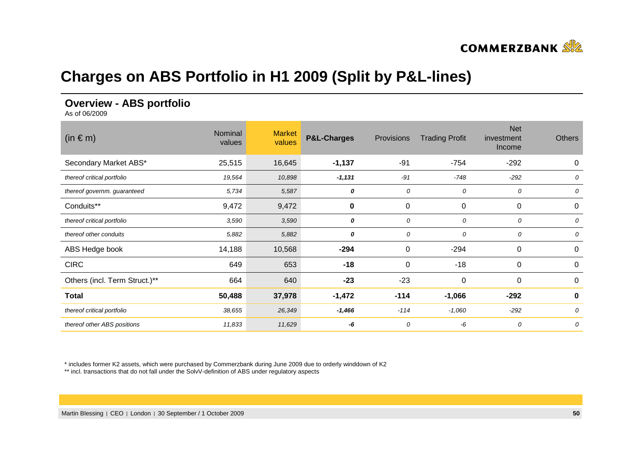

## **Charges on ABS Portfolio in H1 2009 (Split by P&L-lines)**

### **Overview - ABS portfolio**

As of 06/2009

| $(in \in m)$                  | Nominal<br>values | <b>Market</b><br>values | <b>P&amp;L-Charges</b> | Provisions | <b>Trading Profit</b> | <b>Net</b><br>investment<br>Income | <b>Others</b> |
|-------------------------------|-------------------|-------------------------|------------------------|------------|-----------------------|------------------------------------|---------------|
| Secondary Market ABS*         | 25,515            | 16,645                  | $-1,137$               | $-91$      | $-754$                | $-292$                             | 0             |
| thereof critical portfolio    | 19,564            | 10,898                  | $-1,131$               | $-91$      | $-748$                | $-292$                             | 0             |
| thereof governm. guaranteed   | 5,734             | 5,587                   | 0                      | 0          | 0                     | 0                                  | 0             |
| Conduits**                    | 9,472             | 9,472                   | 0                      | 0          | 0                     | 0                                  | 0             |
| thereof critical portfolio    | 3,590             | 3,590                   | 0                      | 0          | 0                     | 0                                  | 0             |
| thereof other conduits        | 5,882             | 5,882                   | 0                      | 0          | 0                     | 0                                  | 0             |
| ABS Hedge book                | 14,188            | 10,568                  | $-294$                 | 0          | $-294$                | 0                                  | 0             |
| <b>CIRC</b>                   | 649               | 653                     | $-18$                  | 0          | $-18$                 | 0                                  | 0             |
| Others (incl. Term Struct.)** | 664               | 640                     | $-23$                  | $-23$      | 0                     | 0                                  | 0             |
| <b>Total</b>                  | 50,488            | 37,978                  | $-1,472$               | $-114$     | $-1,066$              | $-292$                             | 0             |
| thereof critical portfolio    | 38,655            | 26,349                  | $-1,466$               | $-114$     | $-1,060$              | $-292$                             | 0             |
| thereof other ABS positions   | 11,833            | 11,629                  | -6                     | 0          | -6                    | 0                                  | 0             |

\* includes former K2 assets, which were purchased by Commerzbank during June 2009 due to orderly winddown of K2

\*\* incl. transactions that do not fall under the SolvV-definition of ABS under regulatory aspects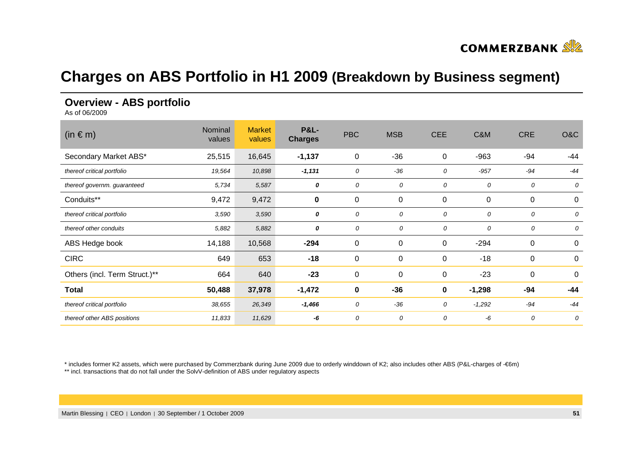

## **Charges on ABS Portfolio in H1 2009 (Breakdown by Business segment)**

### **Overview - ABS portfolio**

As of 06/2009

| $(in \in m)$                  | Nominal<br>values | <b>Market</b><br>values | <b>P&amp;L-</b><br><b>Charges</b> | <b>PBC</b>  | <b>MSB</b>       | <b>CEE</b>  | C&M      | <b>CRE</b> | O&C              |
|-------------------------------|-------------------|-------------------------|-----------------------------------|-------------|------------------|-------------|----------|------------|------------------|
| Secondary Market ABS*         | 25,515            | 16,645                  | $-1,137$                          | $\mathbf 0$ | $-36$            | 0           | $-963$   | -94        | -44              |
| thereof critical portfolio    | 19,564            | 10,898                  | $-1,131$                          | 0           | $-36$            | 0           | $-957$   | $-94$      | $-44$            |
| thereof governm. guaranteed   | 5,734             | 5,587                   | 0                                 | 0           | 0                | 0           | 0        | 0          | 0                |
| Conduits**                    | 9,472             | 9,472                   | $\pmb{0}$                         | $\mathbf 0$ | $\pmb{0}$        | 0           | 0        | 0          | 0                |
| thereof critical portfolio    | 3,590             | 3,590                   | 0                                 | 0           | 0                | 0           | 0        | 0          | 0                |
| thereof other conduits        | 5,882             | 5,882                   | 0                                 | 0           | 0                | 0           | 0        | 0          | 0                |
| ABS Hedge book                | 14,188            | 10,568                  | $-294$                            | $\mathbf 0$ | $\pmb{0}$        | 0           | $-294$   | $\pmb{0}$  | $\boldsymbol{0}$ |
| <b>CIRC</b>                   | 649               | 653                     | $-18$                             | $\mathbf 0$ | $\pmb{0}$        | $\mathbf 0$ | $-18$    | 0          | 0                |
| Others (incl. Term Struct.)** | 664               | 640                     | $-23$                             | $\mathbf 0$ | $\boldsymbol{0}$ | 0           | $-23$    | $\pmb{0}$  | 0                |
| <b>Total</b>                  | 50,488            | 37,978                  | $-1,472$                          | $\mathbf 0$ | $-36$            | 0           | $-1,298$ | -94        | $-44$            |
| thereof critical portfolio    | 38,655            | 26,349                  | $-1,466$                          | 0           | $-36$            | 0           | $-1,292$ | $-94$      | $-44$            |
| thereof other ABS positions   | 11,833            | 11,629                  | -6                                | 0           | 0                | 0           | -6       | 0          | 0                |

\* includes former K2 assets, which were purchased by Commerzbank during June 2009 due to orderly winddown of K2; also includes other ABS (P&L-charges of -€6m)

\*\* incl. transactions that do not fall under the SolvV-definition of ABS under regulatory aspects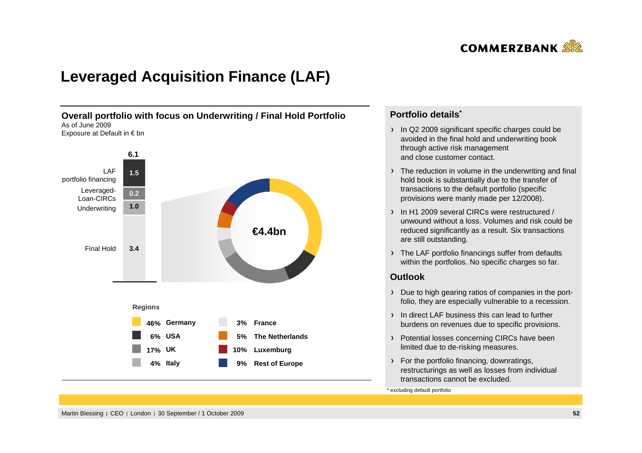

## **Leveraged Acquisition Finance (LAF)**



### **Portfolio details\***

- In Q2 2009 significant specific charges could be avoided in the final hold and underwriting bookthrough active risk management and close customer contact.
- The reduction in volume in the underwriting and final hold book is substantially due to the transfer of transactions to the default portfolio (specificprovisions were manly made per 12/2008).
- In H1 2009 several CIRCs were restructured / unwound without a loss. Volumes and risk could bereduced significantly as a result. Six transactionsare still outstanding.
- > The LAF portfolio financings suffer from defaults within the portfolios. No specific charges so far.

#### **Outlook**

- Due to high gearing ratios of companies in the portfolio, they are especially vulnerable to a recession.
- In direct LAF business this can lead to further burdens on revenues due to specific provisions.
- > Potential losses concerning CIRCs have been limited due to de-risking measures.
- > For the portfolio financing, downratings, restructurings as well as losses from individual transactions cannot be excluded.

\* excluding default portfolio

Martin Blessing | CEO | London | 30 September / 1 October 2009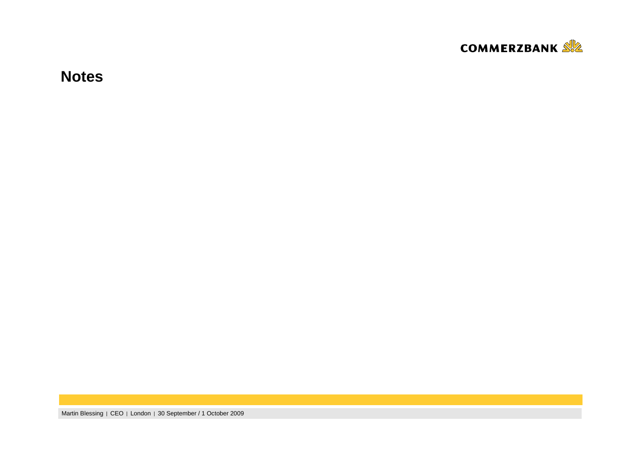

**Notes**

Martin Blessing | CEO | London | 30 September / 1 October 2009 **<sup>53</sup>**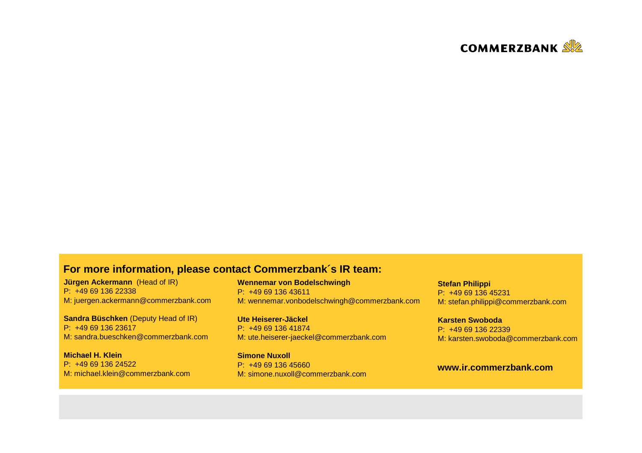

### **For more information, please contact Commerzbank´s IR team:**

**Jürgen Ackermann** (Head of IR) P: +49 69 136 22338M: juergen.ackermann@commerzbank.com

**Sandra Büschken** (Deputy Head of IR) P: +49 69 136 23617M: sandra.bueschken@commerzbank.com

**Michael H. Klein** P: +49 69 136 24522M: michael.klein@commerzbank.com **Wennemar von Bodelschwingh**P: +49 69 136 43611M: wennemar.vonbodelschwingh@commerzbank.com

**Ute Heiserer-Jäckel** P: +49 69 136 41874M: ute.heiserer-jaeckel@commerzbank.com

**Simone Nuxoll** P: +49 69 136 45660M: simone.nuxoll@commerzbank.com **Stefan Philippi** P: +49 69 136 45231M: stefan.philippi@commerzbank.com

**Karsten Swoboda** P: +49 69 136 22339M: karsten.swoboda@commerzbank.com

### **www.ir.commerzbank.com**